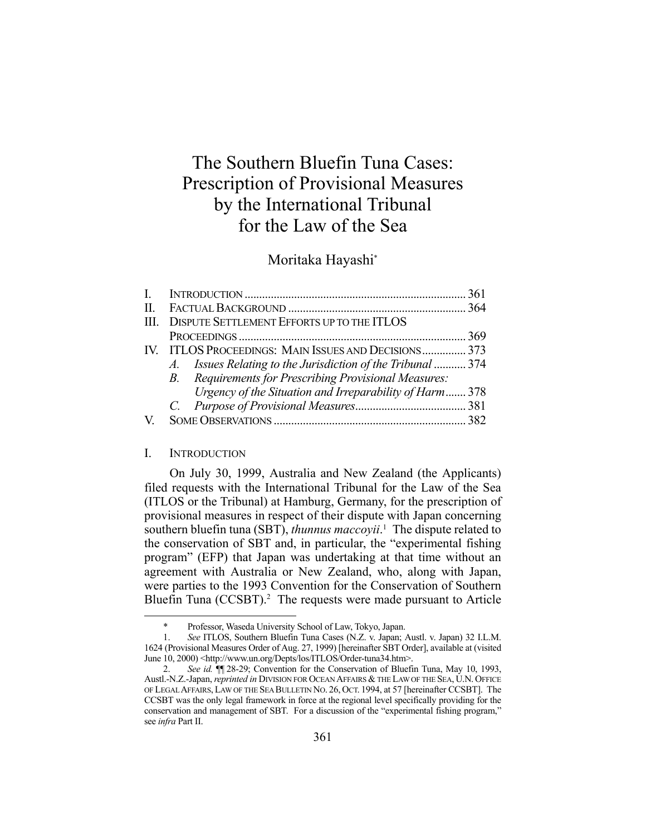# The Southern Bluefin Tuna Cases: Prescription of Provisional Measures by the International Tribunal for the Law of the Sea

# Moritaka Hayashi\*

| III. DISPUTE SETTLEMENT EFFORTS UP TO THE ITLOS             |  |
|-------------------------------------------------------------|--|
|                                                             |  |
| IV. ITLOS PROCEEDINGS: MAIN ISSUES AND DECISIONS 373        |  |
| A. Issues Relating to the Jurisdiction of the Tribunal  374 |  |
| B. Requirements for Prescribing Provisional Measures:       |  |
| Urgency of the Situation and Irreparability of Harm 378     |  |
|                                                             |  |
|                                                             |  |
|                                                             |  |

## I. INTRODUCTION

1

 On July 30, 1999, Australia and New Zealand (the Applicants) filed requests with the International Tribunal for the Law of the Sea (ITLOS or the Tribunal) at Hamburg, Germany, for the prescription of provisional measures in respect of their dispute with Japan concerning southern bluefin tuna (SBT), *thunnus maccoyii*. 1 The dispute related to the conservation of SBT and, in particular, the "experimental fishing program" (EFP) that Japan was undertaking at that time without an agreement with Australia or New Zealand, who, along with Japan, were parties to the 1993 Convention for the Conservation of Southern Bluefin Tuna (CCSBT).<sup>2</sup> The requests were made pursuant to Article

 <sup>\*</sup> Professor, Waseda University School of Law, Tokyo, Japan.

 <sup>1.</sup> *See* ITLOS, Southern Bluefin Tuna Cases (N.Z. v. Japan; Austl. v. Japan) 32 I.L.M. 1624 (Provisional Measures Order of Aug. 27, 1999) [hereinafter SBT Order], available at (visited June 10, 2000) <http://www.un.org/Depts/los/ITLOS/Order-tuna34.htm>.

 <sup>2.</sup> *See id.* ¶¶ 28-29; Convention for the Conservation of Bluefin Tuna, May 10, 1993, Austl.-N.Z.-Japan, *reprinted in* DIVISION FOR OCEAN AFFAIRS & THE LAW OF THE SEA, U.N. OFFICE OF LEGAL AFFAIRS, LAW OF THE SEA BULLETIN NO. 26, OCT. 1994, at 57 [hereinafter CCSBT]. The CCSBT was the only legal framework in force at the regional level specifically providing for the conservation and management of SBT. For a discussion of the "experimental fishing program," see *infra* Part II.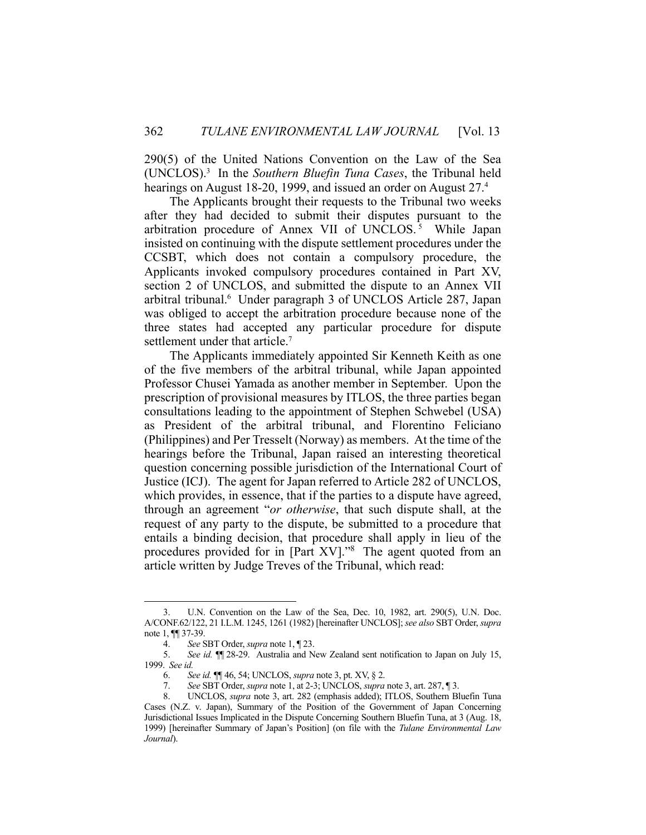290(5) of the United Nations Convention on the Law of the Sea (UNCLOS).3 In the *Southern Bluefin Tuna Cases*, the Tribunal held hearings on August 18-20, 1999, and issued an order on August 27.4

 The Applicants brought their requests to the Tribunal two weeks after they had decided to submit their disputes pursuant to the arbitration procedure of Annex VII of UNCLOS.<sup>5</sup> While Japan insisted on continuing with the dispute settlement procedures under the CCSBT, which does not contain a compulsory procedure, the Applicants invoked compulsory procedures contained in Part XV, section 2 of UNCLOS, and submitted the dispute to an Annex VII arbitral tribunal.6 Under paragraph 3 of UNCLOS Article 287, Japan was obliged to accept the arbitration procedure because none of the three states had accepted any particular procedure for dispute settlement under that article.<sup>7</sup>

 The Applicants immediately appointed Sir Kenneth Keith as one of the five members of the arbitral tribunal, while Japan appointed Professor Chusei Yamada as another member in September. Upon the prescription of provisional measures by ITLOS, the three parties began consultations leading to the appointment of Stephen Schwebel (USA) as President of the arbitral tribunal, and Florentino Feliciano (Philippines) and Per Tresselt (Norway) as members. At the time of the hearings before the Tribunal, Japan raised an interesting theoretical question concerning possible jurisdiction of the International Court of Justice (ICJ). The agent for Japan referred to Article 282 of UNCLOS, which provides, in essence, that if the parties to a dispute have agreed, through an agreement "*or otherwise*, that such dispute shall, at the request of any party to the dispute, be submitted to a procedure that entails a binding decision, that procedure shall apply in lieu of the procedures provided for in [Part XV]."8 The agent quoted from an article written by Judge Treves of the Tribunal, which read:

 <sup>3.</sup> U.N. Convention on the Law of the Sea, Dec. 10, 1982, art. 290(5), U.N. Doc. A/CONF.62/122, 21 I.L.M. 1245, 1261 (1982) [hereinafter UNCLOS]; *see also* SBT Order, *supra* note 1, ¶¶ 37-39.

 <sup>4.</sup> *See* SBT Order, *supra* note 1, ¶ 23.

 <sup>5.</sup> *See id.* ¶¶ 28-29. Australia and New Zealand sent notification to Japan on July 15, 1999. *See id.*

 <sup>6.</sup> *See id.* ¶¶ 46, 54; UNCLOS, *supra* note 3, pt. XV, § 2.

 <sup>7.</sup> *See* SBT Order, *supra* note 1, at 2-3; UNCLOS, *supra* note 3, art. 287, ¶ 3.

 <sup>8.</sup> UNCLOS, *supra* note 3, art. 282 (emphasis added); ITLOS, Southern Bluefin Tuna Cases (N.Z. v. Japan), Summary of the Position of the Government of Japan Concerning Jurisdictional Issues Implicated in the Dispute Concerning Southern Bluefin Tuna, at 3 (Aug. 18, 1999) [hereinafter Summary of Japan's Position] (on file with the *Tulane Environmental Law Journal*).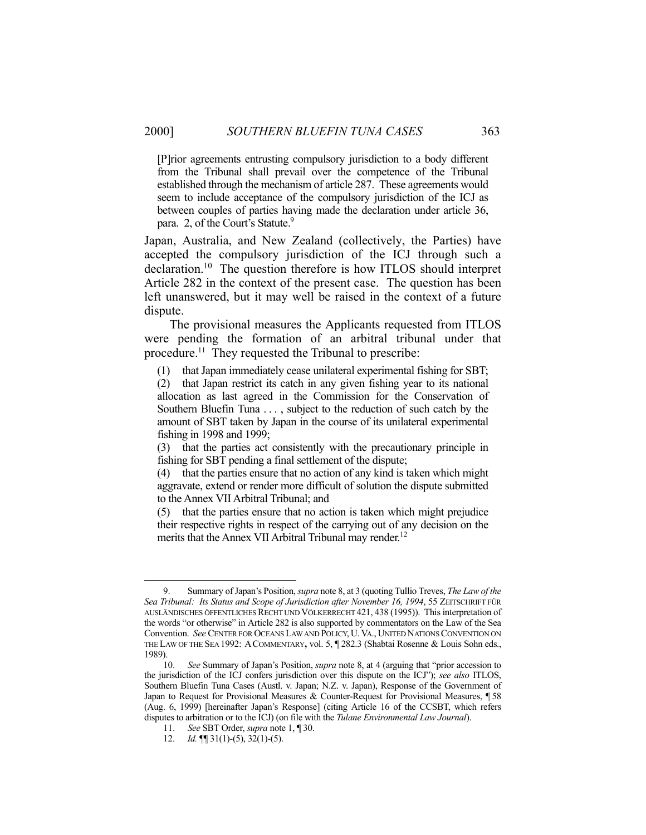[P]rior agreements entrusting compulsory jurisdiction to a body different from the Tribunal shall prevail over the competence of the Tribunal established through the mechanism of article 287. These agreements would seem to include acceptance of the compulsory jurisdiction of the ICJ as between couples of parties having made the declaration under article 36, para. 2, of the Court's Statute.<sup>9</sup>

Japan, Australia, and New Zealand (collectively, the Parties) have accepted the compulsory jurisdiction of the ICJ through such a declaration.10 The question therefore is how ITLOS should interpret Article 282 in the context of the present case. The question has been left unanswered, but it may well be raised in the context of a future dispute.

 The provisional measures the Applicants requested from ITLOS were pending the formation of an arbitral tribunal under that procedure.<sup>11</sup> They requested the Tribunal to prescribe:

(1) that Japan immediately cease unilateral experimental fishing for SBT;

(2) that Japan restrict its catch in any given fishing year to its national allocation as last agreed in the Commission for the Conservation of Southern Bluefin Tuna . . . , subject to the reduction of such catch by the amount of SBT taken by Japan in the course of its unilateral experimental fishing in 1998 and 1999;

(3) that the parties act consistently with the precautionary principle in fishing for SBT pending a final settlement of the dispute;

(4) that the parties ensure that no action of any kind is taken which might aggravate, extend or render more difficult of solution the dispute submitted to the Annex VII Arbitral Tribunal; and

(5) that the parties ensure that no action is taken which might prejudice their respective rights in respect of the carrying out of any decision on the merits that the Annex VII Arbitral Tribunal may render.<sup>12</sup>

 <sup>9.</sup> Summary of Japan's Position, *supra* note 8, at 3 (quoting Tullio Treves, *The Law of the Sea Tribunal: Its Status and Scope of Jurisdiction after November 16, 1994*, 55 ZEITSCHRIFT FÜR AUSLÄNDISCHES ÖFFENTLICHES RECHT UND VÖLKERRECHT 421, 438 (1995)). This interpretation of the words "or otherwise" in Article 282 is also supported by commentators on the Law of the Sea Convention. *See* CENTER FOR OCEANS LAW AND POLICY, U. VA., UNITED NATIONS CONVENTION ON THE LAW OF THE SEA 1992: ACOMMENTARY**,** vol. 5, ¶ 282.3 (Shabtai Rosenne & Louis Sohn eds., 1989).

 <sup>10.</sup> *See* Summary of Japan's Position, *supra* note 8, at 4 (arguing that "prior accession to the jurisdiction of the ICJ confers jurisdiction over this dispute on the ICJ"); *see also* ITLOS, Southern Bluefin Tuna Cases (Austl. v. Japan; N.Z. v. Japan), Response of the Government of Japan to Request for Provisional Measures & Counter-Request for Provisional Measures, ¶ 58 (Aug. 6, 1999) [hereinafter Japan's Response] (citing Article 16 of the CCSBT, which refers disputes to arbitration or to the ICJ) (on file with the *Tulane Environmental Law Journal*).

 <sup>11.</sup> *See* SBT Order, *supra* note 1, ¶ 30.

<sup>12.</sup> *Id.*  $\mathbb{I}$  31(1)-(5), 32(1)-(5).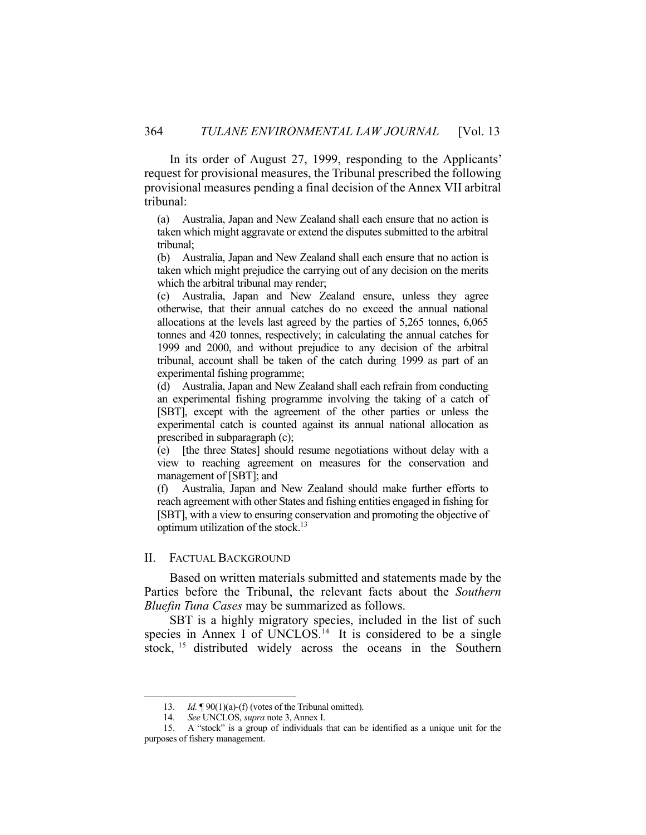In its order of August 27, 1999, responding to the Applicants' request for provisional measures, the Tribunal prescribed the following provisional measures pending a final decision of the Annex VII arbitral tribunal:

(a) Australia, Japan and New Zealand shall each ensure that no action is taken which might aggravate or extend the disputes submitted to the arbitral tribunal;

(b) Australia, Japan and New Zealand shall each ensure that no action is taken which might prejudice the carrying out of any decision on the merits which the arbitral tribunal may render;

(c) Australia, Japan and New Zealand ensure, unless they agree otherwise, that their annual catches do no exceed the annual national allocations at the levels last agreed by the parties of 5,265 tonnes, 6,065 tonnes and 420 tonnes, respectively; in calculating the annual catches for 1999 and 2000, and without prejudice to any decision of the arbitral tribunal, account shall be taken of the catch during 1999 as part of an experimental fishing programme;

(d) Australia, Japan and New Zealand shall each refrain from conducting an experimental fishing programme involving the taking of a catch of [SBT], except with the agreement of the other parties or unless the experimental catch is counted against its annual national allocation as prescribed in subparagraph (c);

(e) [the three States] should resume negotiations without delay with a view to reaching agreement on measures for the conservation and management of [SBT]; and

(f) Australia, Japan and New Zealand should make further efforts to reach agreement with other States and fishing entities engaged in fishing for [SBT], with a view to ensuring conservation and promoting the objective of optimum utilization of the stock.13

## II. FACTUAL BACKGROUND

<u>.</u>

 Based on written materials submitted and statements made by the Parties before the Tribunal, the relevant facts about the *Southern Bluefin Tuna Cases* may be summarized as follows.

 SBT is a highly migratory species, included in the list of such species in Annex I of UNCLOS.<sup>14</sup> It is considered to be a single stock, 15 distributed widely across the oceans in the Southern

 <sup>13.</sup> *Id.* ¶ 90(1)(a)-(f) (votes of the Tribunal omitted).

 <sup>14.</sup> *See* UNCLOS, *supra* note 3, Annex I.

 <sup>15.</sup> A "stock" is a group of individuals that can be identified as a unique unit for the purposes of fishery management.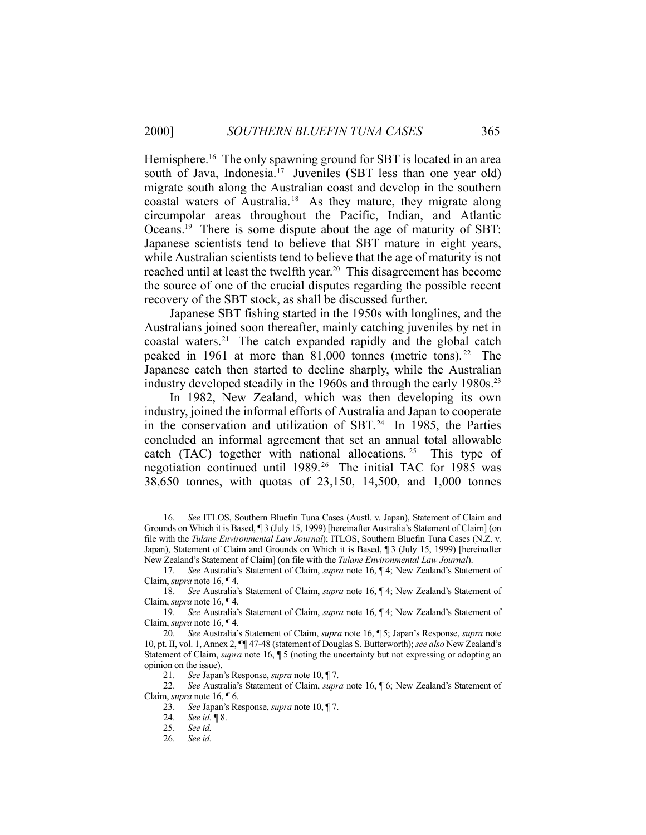Hemisphere.<sup>16</sup> The only spawning ground for SBT is located in an area south of Java, Indonesia.<sup>17</sup> Juveniles (SBT less than one year old) migrate south along the Australian coast and develop in the southern coastal waters of Australia.18 As they mature, they migrate along circumpolar areas throughout the Pacific, Indian, and Atlantic Oceans.19 There is some dispute about the age of maturity of SBT: Japanese scientists tend to believe that SBT mature in eight years, while Australian scientists tend to believe that the age of maturity is not reached until at least the twelfth year.<sup>20</sup> This disagreement has become the source of one of the crucial disputes regarding the possible recent recovery of the SBT stock, as shall be discussed further.

 Japanese SBT fishing started in the 1950s with longlines, and the Australians joined soon thereafter, mainly catching juveniles by net in coastal waters.21 The catch expanded rapidly and the global catch peaked in 1961 at more than 81,000 tonnes (metric tons). 22 The Japanese catch then started to decline sharply, while the Australian industry developed steadily in the 1960s and through the early 1980s.<sup>23</sup>

 In 1982, New Zealand, which was then developing its own industry, joined the informal efforts of Australia and Japan to cooperate in the conservation and utilization of SBT. $24$  In 1985, the Parties concluded an informal agreement that set an annual total allowable catch (TAC) together with national allocations. <sup>25</sup> This type of negotiation continued until 1989.26 The initial TAC for 1985 was 38,650 tonnes, with quotas of 23,150, 14,500, and 1,000 tonnes

 <sup>16.</sup> *See* ITLOS, Southern Bluefin Tuna Cases (Austl. v. Japan), Statement of Claim and Grounds on Which it is Based, ¶ 3 (July 15, 1999) [hereinafter Australia's Statement of Claim] (on file with the *Tulane Environmental Law Journal*); ITLOS, Southern Bluefin Tuna Cases (N.Z. v. Japan), Statement of Claim and Grounds on Which it is Based, ¶ 3 (July 15, 1999) [hereinafter New Zealand's Statement of Claim] (on file with the *Tulane Environmental Law Journal*).

 <sup>17.</sup> *See* Australia's Statement of Claim, *supra* note 16, ¶ 4; New Zealand's Statement of Claim, *supra* note 16, ¶ 4.

 <sup>18.</sup> *See* Australia's Statement of Claim, *supra* note 16, ¶ 4; New Zealand's Statement of Claim, *supra* note 16, ¶ 4.

 <sup>19.</sup> *See* Australia's Statement of Claim, *supra* note 16, ¶ 4; New Zealand's Statement of Claim, *supra* note 16, ¶ 4.

 <sup>20.</sup> *See* Australia's Statement of Claim, *supra* note 16, ¶ 5; Japan's Response, *supra* note 10, pt. II, vol. 1, Annex 2, ¶¶ 47-48 (statement of Douglas S. Butterworth); *see also* New Zealand's Statement of Claim, *supra* note 16, ¶ 5 (noting the uncertainty but not expressing or adopting an opinion on the issue).

 <sup>21.</sup> *See* Japan's Response, *supra* note 10, ¶ 7.

 <sup>22.</sup> *See* Australia's Statement of Claim, *supra* note 16, ¶ 6; New Zealand's Statement of Claim, *supra* note 16, ¶ 6.

 <sup>23.</sup> *See* Japan's Response, *supra* note 10, ¶ 7.

 <sup>24.</sup> *See id.* ¶ 8.

 <sup>25.</sup> *See id.*

 <sup>26.</sup> *See id.*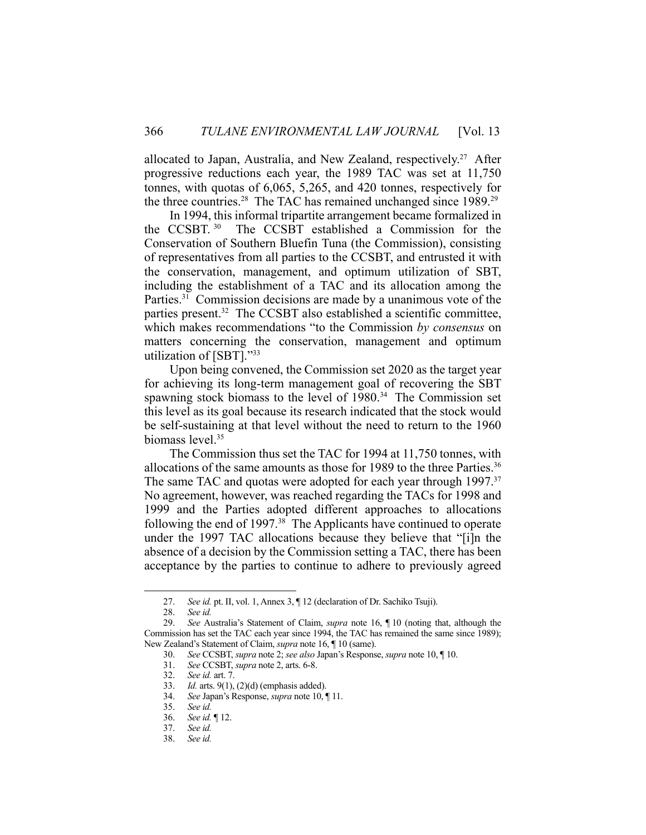allocated to Japan, Australia, and New Zealand, respectively.<sup>27</sup> After progressive reductions each year, the 1989 TAC was set at 11,750 tonnes, with quotas of 6,065, 5,265, and 420 tonnes, respectively for the three countries.<sup>28</sup> The TAC has remained unchanged since 1989.<sup>29</sup>

 In 1994, this informal tripartite arrangement became formalized in the CCSBT. 30 The CCSBT established a Commission for the Conservation of Southern Bluefin Tuna (the Commission), consisting of representatives from all parties to the CCSBT, and entrusted it with the conservation, management, and optimum utilization of SBT, including the establishment of a TAC and its allocation among the Parties.<sup>31</sup> Commission decisions are made by a unanimous vote of the parties present.<sup>32</sup> The CCSBT also established a scientific committee, which makes recommendations "to the Commission *by consensus* on matters concerning the conservation, management and optimum utilization of [SBT]."33

 Upon being convened, the Commission set 2020 as the target year for achieving its long-term management goal of recovering the SBT spawning stock biomass to the level of  $1980<sup>34</sup>$  The Commission set this level as its goal because its research indicated that the stock would be self-sustaining at that level without the need to return to the 1960 biomass level.35

 The Commission thus set the TAC for 1994 at 11,750 tonnes, with allocations of the same amounts as those for 1989 to the three Parties.<sup>36</sup> The same TAC and quotas were adopted for each year through 1997.<sup>37</sup> No agreement, however, was reached regarding the TACs for 1998 and 1999 and the Parties adopted different approaches to allocations following the end of 1997. $38$  The Applicants have continued to operate under the 1997 TAC allocations because they believe that "[i]n the absence of a decision by the Commission setting a TAC, there has been acceptance by the parties to continue to adhere to previously agreed

 <sup>27.</sup> *See id.* pt. II, vol. 1, Annex 3, ¶ 12 (declaration of Dr. Sachiko Tsuji).

 <sup>28.</sup> *See id.*

 <sup>29.</sup> *See* Australia's Statement of Claim, *supra* note 16, ¶ 10 (noting that, although the Commission has set the TAC each year since 1994, the TAC has remained the same since 1989); New Zealand's Statement of Claim, *supra* note 16, ¶ 10 (same).

 <sup>30.</sup> *See* CCSBT, *supra* note 2; *see also* Japan's Response, *supra* note 10, ¶ 10.

 <sup>31.</sup> *See* CCSBT, *supra* note 2, arts. 6-8.

 <sup>32.</sup> *See id.* art. 7.

 <sup>33.</sup> *Id.* arts. 9(1), (2)(d) (emphasis added).

 <sup>34.</sup> *See* Japan's Response, *supra* note 10, ¶ 11.

 <sup>35.</sup> *See id.*

 <sup>36.</sup> *See id.* ¶ 12.

 <sup>37.</sup> *See id.*

 <sup>38.</sup> *See id.*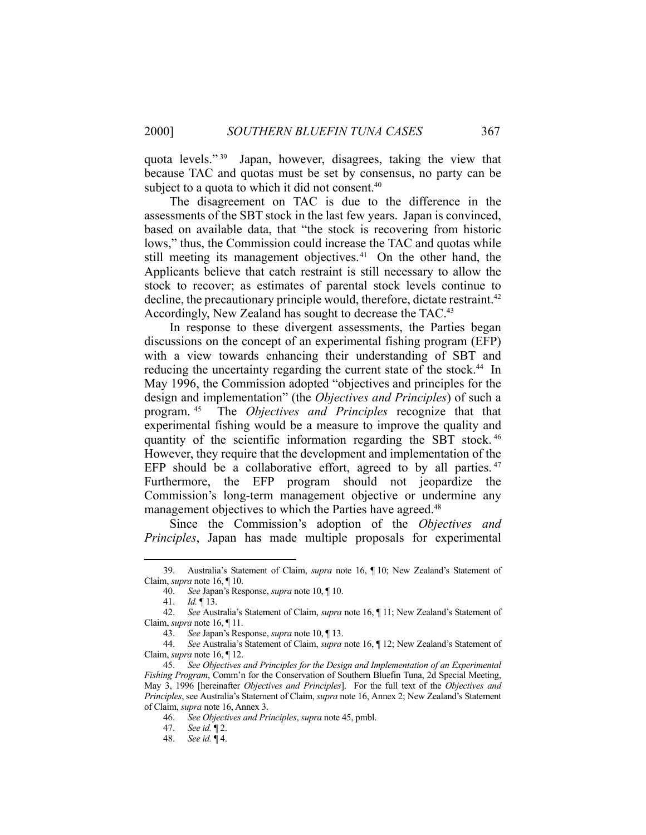quota levels." 39 Japan, however, disagrees, taking the view that because TAC and quotas must be set by consensus, no party can be subject to a quota to which it did not consent.<sup>40</sup>

 The disagreement on TAC is due to the difference in the assessments of the SBT stock in the last few years. Japan is convinced, based on available data, that "the stock is recovering from historic lows," thus, the Commission could increase the TAC and quotas while still meeting its management objectives.<sup>41</sup> On the other hand, the Applicants believe that catch restraint is still necessary to allow the stock to recover; as estimates of parental stock levels continue to decline, the precautionary principle would, therefore, dictate restraint.<sup>42</sup> Accordingly, New Zealand has sought to decrease the TAC.<sup>43</sup>

 In response to these divergent assessments, the Parties began discussions on the concept of an experimental fishing program (EFP) with a view towards enhancing their understanding of SBT and reducing the uncertainty regarding the current state of the stock.<sup>44</sup> In May 1996, the Commission adopted "objectives and principles for the design and implementation" (the *Objectives and Principles*) of such a program. 45 The *Objectives and Principles* recognize that that experimental fishing would be a measure to improve the quality and quantity of the scientific information regarding the SBT stock. 46 However, they require that the development and implementation of the EFP should be a collaborative effort, agreed to by all parties.<sup>47</sup> Furthermore, the EFP program should not jeopardize the Commission's long-term management objective or undermine any management objectives to which the Parties have agreed.<sup>48</sup>

 Since the Commission's adoption of the *Objectives and Principles*, Japan has made multiple proposals for experimental

 <sup>39.</sup> Australia's Statement of Claim, *supra* note 16, ¶ 10; New Zealand's Statement of Claim, *supra* note 16, ¶ 10.

 <sup>40.</sup> *See* Japan's Response, *supra* note 10, ¶ 10.

 <sup>41.</sup> *Id.* ¶ 13.

 <sup>42.</sup> *See* Australia's Statement of Claim, *supra* note 16, ¶ 11; New Zealand's Statement of Claim, *supra* note 16, ¶ 11.

 <sup>43.</sup> *See* Japan's Response, *supra* note 10, ¶ 13.

 <sup>44.</sup> *See* Australia's Statement of Claim, *supra* note 16, ¶ 12; New Zealand's Statement of Claim, *supra* note 16, ¶ 12.

 <sup>45.</sup> *See Objectives and Principles for the Design and Implementation of an Experimental Fishing Program*, Comm'n for the Conservation of Southern Bluefin Tuna, 2d Special Meeting, May 3, 1996 [hereinafter *Objectives and Principles*]. For the full text of the *Objectives and Principles*, see Australia's Statement of Claim, *supra* note 16, Annex 2; New Zealand's Statement of Claim, *supra* note 16, Annex 3.

 <sup>46.</sup> *See Objectives and Principles*, *supra* note 45, pmbl.

 <sup>47.</sup> *See id.* ¶ 2.

 <sup>48.</sup> *See id.* ¶ 4.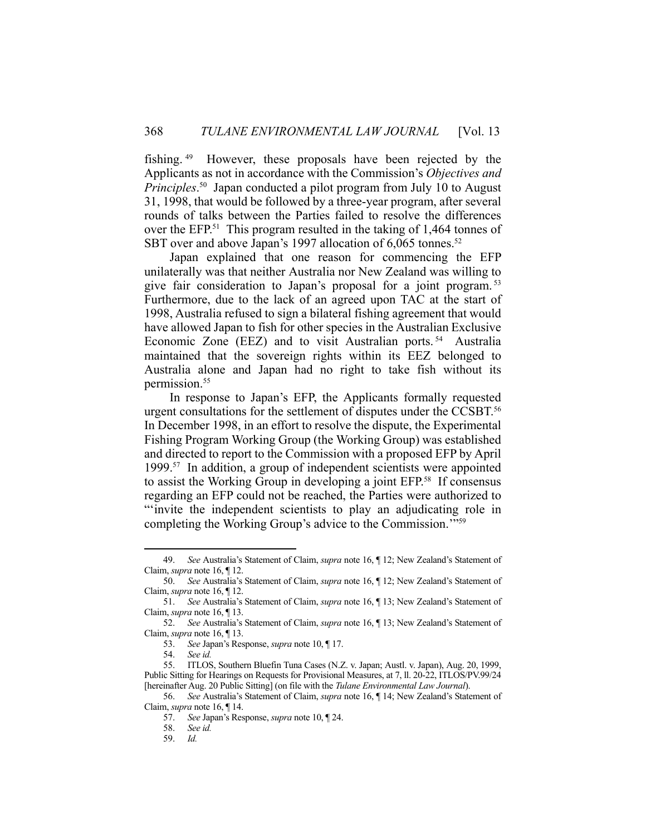fishing. 49 However, these proposals have been rejected by the Applicants as not in accordance with the Commission's *Objectives and Principles*. 50 Japan conducted a pilot program from July 10 to August 31, 1998, that would be followed by a three-year program, after several rounds of talks between the Parties failed to resolve the differences over the EFP.<sup>51</sup> This program resulted in the taking of 1,464 tonnes of SBT over and above Japan's 1997 allocation of 6,065 tonnes.<sup>52</sup>

 Japan explained that one reason for commencing the EFP unilaterally was that neither Australia nor New Zealand was willing to give fair consideration to Japan's proposal for a joint program. 53 Furthermore, due to the lack of an agreed upon TAC at the start of 1998, Australia refused to sign a bilateral fishing agreement that would have allowed Japan to fish for other species in the Australian Exclusive Economic Zone (EEZ) and to visit Australian ports. 54 Australia maintained that the sovereign rights within its EEZ belonged to Australia alone and Japan had no right to take fish without its permission.<sup>55</sup>

 In response to Japan's EFP, the Applicants formally requested urgent consultations for the settlement of disputes under the CCSBT.<sup>56</sup> In December 1998, in an effort to resolve the dispute, the Experimental Fishing Program Working Group (the Working Group) was established and directed to report to the Commission with a proposed EFP by April 1999.57 In addition, a group of independent scientists were appointed to assist the Working Group in developing a joint EFP.58 If consensus regarding an EFP could not be reached, the Parties were authorized to "'invite the independent scientists to play an adjudicating role in completing the Working Group's advice to the Commission.'"59

 <sup>49.</sup> *See* Australia's Statement of Claim, *supra* note 16, ¶ 12; New Zealand's Statement of Claim, *supra* note 16, ¶ 12.

 <sup>50.</sup> *See* Australia's Statement of Claim, *supra* note 16, ¶ 12; New Zealand's Statement of Claim, *supra* note 16, ¶ 12.

 <sup>51.</sup> *See* Australia's Statement of Claim, *supra* note 16, ¶ 13; New Zealand's Statement of Claim, *supra* note 16, ¶ 13.

 <sup>52.</sup> *See* Australia's Statement of Claim, *supra* note 16, ¶ 13; New Zealand's Statement of Claim, *supra* note 16, ¶ 13.

 <sup>53.</sup> *See* Japan's Response, *supra* note 10, ¶ 17.

 <sup>54.</sup> *See id.*

 <sup>55.</sup> ITLOS, Southern Bluefin Tuna Cases (N.Z. v. Japan; Austl. v. Japan), Aug. 20, 1999, Public Sitting for Hearings on Requests for Provisional Measures, at 7, ll. 20-22, ITLOS/PV.99/24 [hereinafter Aug. 20 Public Sitting] (on file with the *Tulane Environmental Law Journal*).

 <sup>56.</sup> *See* Australia's Statement of Claim, *supra* note 16, ¶ 14; New Zealand's Statement of Claim, *supra* note 16, ¶ 14.

 <sup>57.</sup> *See* Japan's Response, *supra* note 10, ¶ 24.

 <sup>58.</sup> *See id.*

 <sup>59.</sup> *Id.*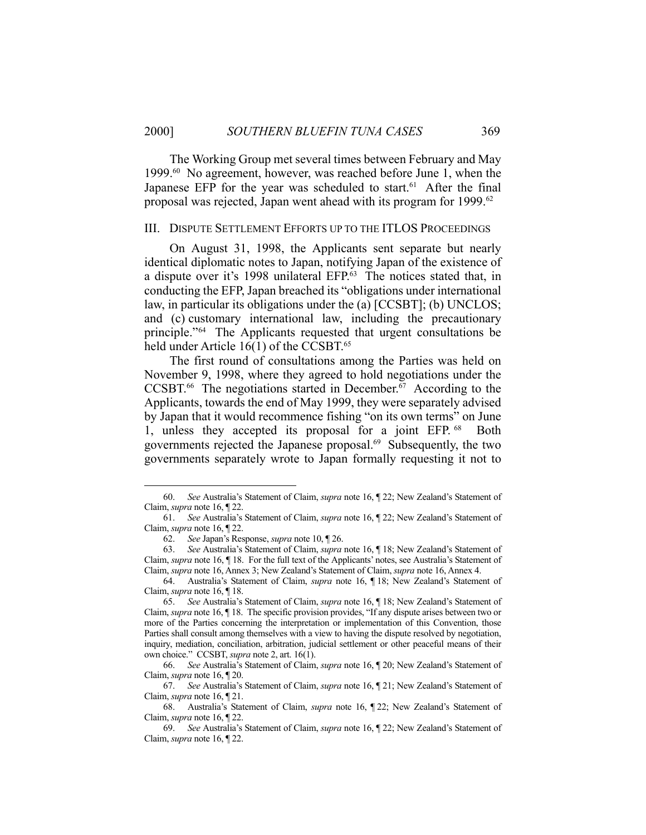The Working Group met several times between February and May 1999.60 No agreement, however, was reached before June 1, when the Japanese EFP for the year was scheduled to start.<sup>61</sup> After the final proposal was rejected, Japan went ahead with its program for 1999.<sup>62</sup>

#### III. DISPUTE SETTLEMENT EFFORTS UP TO THE ITLOS PROCEEDINGS

 On August 31, 1998, the Applicants sent separate but nearly identical diplomatic notes to Japan, notifying Japan of the existence of a dispute over it's 1998 unilateral EFP.63 The notices stated that, in conducting the EFP, Japan breached its "obligations under international law, in particular its obligations under the (a) [CCSBT]; (b) UNCLOS; and (c) customary international law, including the precautionary principle."64 The Applicants requested that urgent consultations be held under Article 16(1) of the CCSBT.<sup>65</sup>

 The first round of consultations among the Parties was held on November 9, 1998, where they agreed to hold negotiations under the CCSBT.<sup>66</sup> The negotiations started in December.<sup> $\overline{67}$ </sup> According to the Applicants, towards the end of May 1999, they were separately advised by Japan that it would recommence fishing "on its own terms" on June 1, unless they accepted its proposal for a joint EFP. <sup>68</sup> Both governments rejected the Japanese proposal.<sup>69</sup> Subsequently, the two governments separately wrote to Japan formally requesting it not to

 <sup>60.</sup> *See* Australia's Statement of Claim, *supra* note 16, ¶ 22; New Zealand's Statement of Claim, *supra* note 16, ¶ 22.

 <sup>61.</sup> *See* Australia's Statement of Claim, *supra* note 16, ¶ 22; New Zealand's Statement of Claim, *supra* note 16, ¶ 22.

 <sup>62.</sup> *See* Japan's Response, *supra* note 10, ¶ 26.

 <sup>63.</sup> *See* Australia's Statement of Claim, *supra* note 16, ¶ 18; New Zealand's Statement of Claim, *supra* note 16, ¶ 18. For the full text of the Applicants' notes, see Australia's Statement of Claim, *supra* note 16, Annex 3; New Zealand's Statement of Claim, *supra* note 16, Annex 4.

 <sup>64.</sup> Australia's Statement of Claim, *supra* note 16, ¶ 18; New Zealand's Statement of Claim, *supra* note 16, ¶ 18.

 <sup>65.</sup> *See* Australia's Statement of Claim, *supra* note 16, ¶ 18; New Zealand's Statement of Claim, *supra* note 16, ¶ 18. The specific provision provides, "If any dispute arises between two or more of the Parties concerning the interpretation or implementation of this Convention, those Parties shall consult among themselves with a view to having the dispute resolved by negotiation, inquiry, mediation, conciliation, arbitration, judicial settlement or other peaceful means of their own choice." CCSBT, *supra* note 2, art. 16(1).

 <sup>66.</sup> *See* Australia's Statement of Claim, *supra* note 16, ¶ 20; New Zealand's Statement of Claim, *supra* note 16, ¶ 20.

 <sup>67.</sup> *See* Australia's Statement of Claim, *supra* note 16, ¶ 21; New Zealand's Statement of Claim, *supra* note 16, ¶ 21.

 <sup>68.</sup> Australia's Statement of Claim, *supra* note 16, ¶ 22; New Zealand's Statement of Claim, *supra* note 16, ¶ 22.

 <sup>69.</sup> *See* Australia's Statement of Claim, *supra* note 16, ¶ 22; New Zealand's Statement of Claim, *supra* note 16, ¶ 22.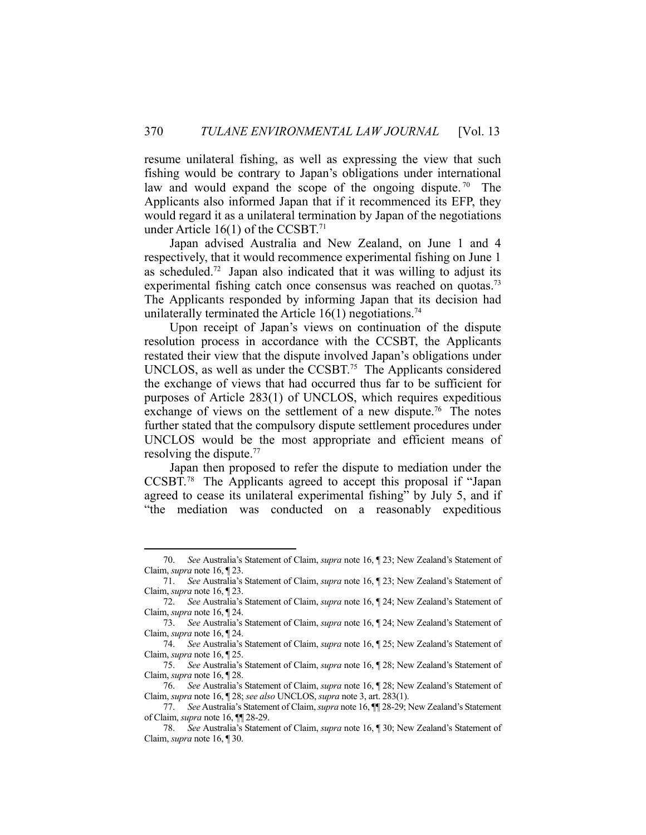resume unilateral fishing, as well as expressing the view that such fishing would be contrary to Japan's obligations under international law and would expand the scope of the ongoing dispute.<sup>70</sup> The Applicants also informed Japan that if it recommenced its EFP, they would regard it as a unilateral termination by Japan of the negotiations under Article  $16(1)$  of the CCSBT.<sup>71</sup>

 Japan advised Australia and New Zealand, on June 1 and 4 respectively, that it would recommence experimental fishing on June 1 as scheduled.<sup>72</sup> Japan also indicated that it was willing to adjust its experimental fishing catch once consensus was reached on quotas.<sup>73</sup> The Applicants responded by informing Japan that its decision had unilaterally terminated the Article  $16(1)$  negotiations.<sup>74</sup>

 Upon receipt of Japan's views on continuation of the dispute resolution process in accordance with the CCSBT, the Applicants restated their view that the dispute involved Japan's obligations under UNCLOS, as well as under the CCSBT.<sup>75</sup> The Applicants considered the exchange of views that had occurred thus far to be sufficient for purposes of Article 283(1) of UNCLOS, which requires expeditious exchange of views on the settlement of a new dispute.<sup>76</sup> The notes further stated that the compulsory dispute settlement procedures under UNCLOS would be the most appropriate and efficient means of resolving the dispute.<sup>77</sup>

 Japan then proposed to refer the dispute to mediation under the CCSBT.78 The Applicants agreed to accept this proposal if "Japan agreed to cease its unilateral experimental fishing" by July 5, and if "the mediation was conducted on a reasonably expeditious

 <sup>70.</sup> *See* Australia's Statement of Claim, *supra* note 16, ¶ 23; New Zealand's Statement of Claim, *supra* note 16, ¶ 23.

 <sup>71.</sup> *See* Australia's Statement of Claim, *supra* note 16, ¶ 23; New Zealand's Statement of Claim, *supra* note 16, ¶ 23.

 <sup>72.</sup> *See* Australia's Statement of Claim, *supra* note 16, ¶ 24; New Zealand's Statement of Claim, *supra* note 16, ¶ 24.

 <sup>73.</sup> *See* Australia's Statement of Claim, *supra* note 16, ¶ 24; New Zealand's Statement of Claim, *supra* note 16, ¶ 24.

 <sup>74.</sup> *See* Australia's Statement of Claim, *supra* note 16, ¶ 25; New Zealand's Statement of Claim, *supra* note 16, ¶ 25.

 <sup>75.</sup> *See* Australia's Statement of Claim, *supra* note 16, ¶ 28; New Zealand's Statement of Claim, *supra* note 16, ¶ 28.

 <sup>76.</sup> *See* Australia's Statement of Claim, *supra* note 16, ¶ 28; New Zealand's Statement of Claim, *supra* note 16, ¶ 28; *see also* UNCLOS, *supra* note 3, art. 283(1).

 <sup>77.</sup> *See* Australia's Statement of Claim, *supra* note 16, ¶¶ 28-29; New Zealand's Statement of Claim, *supra* note 16, ¶¶ 28-29.

 <sup>78.</sup> *See* Australia's Statement of Claim, *supra* note 16, ¶ 30; New Zealand's Statement of Claim, *supra* note 16, ¶ 30.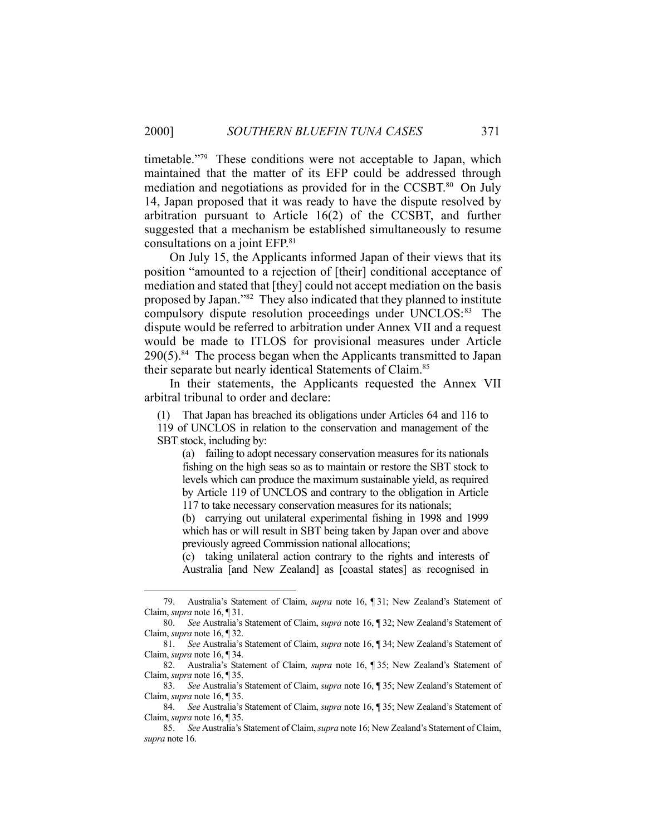timetable."<sup>79</sup> These conditions were not acceptable to Japan, which maintained that the matter of its EFP could be addressed through mediation and negotiations as provided for in the CCSBT.<sup>80</sup> On July 14, Japan proposed that it was ready to have the dispute resolved by arbitration pursuant to Article 16(2) of the CCSBT, and further suggested that a mechanism be established simultaneously to resume consultations on a joint EFP.81

 On July 15, the Applicants informed Japan of their views that its position "amounted to a rejection of [their] conditional acceptance of mediation and stated that [they] could not accept mediation on the basis proposed by Japan."82 They also indicated that they planned to institute compulsory dispute resolution proceedings under UNCLOS:<sup>83</sup> The dispute would be referred to arbitration under Annex VII and a request would be made to ITLOS for provisional measures under Article  $290(5)$ .<sup>84</sup> The process began when the Applicants transmitted to Japan their separate but nearly identical Statements of Claim.85

 In their statements, the Applicants requested the Annex VII arbitral tribunal to order and declare:

(1) That Japan has breached its obligations under Articles 64 and 116 to

119 of UNCLOS in relation to the conservation and management of the SBT stock, including by:

 (a) failing to adopt necessary conservation measures for its nationals fishing on the high seas so as to maintain or restore the SBT stock to levels which can produce the maximum sustainable yield, as required by Article 119 of UNCLOS and contrary to the obligation in Article 117 to take necessary conservation measures for its nationals;

 (b) carrying out unilateral experimental fishing in 1998 and 1999 which has or will result in SBT being taken by Japan over and above previously agreed Commission national allocations;

 (c) taking unilateral action contrary to the rights and interests of Australia [and New Zealand] as [coastal states] as recognised in

 <sup>79.</sup> Australia's Statement of Claim, *supra* note 16, ¶ 31; New Zealand's Statement of Claim, *supra* note 16, ¶ 31.

 <sup>80.</sup> *See* Australia's Statement of Claim, *supra* note 16, ¶ 32; New Zealand's Statement of Claim, *supra* note 16, ¶ 32.

 <sup>81.</sup> *See* Australia's Statement of Claim, *supra* note 16, ¶ 34; New Zealand's Statement of Claim, *supra* note 16, ¶ 34.

 <sup>82.</sup> Australia's Statement of Claim, *supra* note 16, ¶ 35; New Zealand's Statement of Claim, *supra* note 16, ¶ 35.

 <sup>83.</sup> *See* Australia's Statement of Claim, *supra* note 16, ¶ 35; New Zealand's Statement of Claim, *supra* note 16, ¶ 35.

 <sup>84.</sup> *See* Australia's Statement of Claim, *supra* note 16, ¶ 35; New Zealand's Statement of Claim, *supra* note 16, ¶ 35.

 <sup>85.</sup> *See* Australia's Statement of Claim, *supra* note 16; New Zealand's Statement of Claim, *supra* note 16.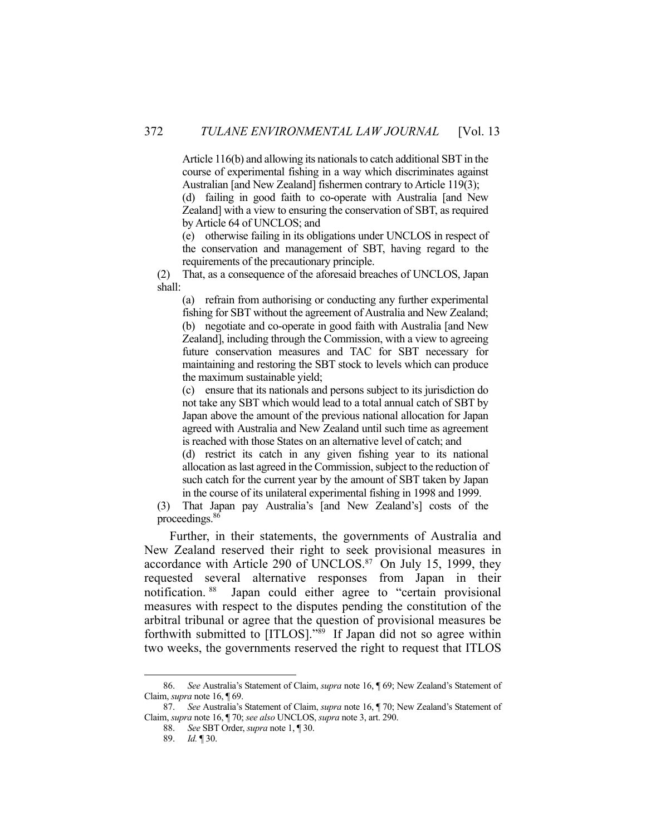Article 116(b) and allowing its nationals to catch additional SBT in the course of experimental fishing in a way which discriminates against Australian [and New Zealand] fishermen contrary to Article 119(3);

 (d) failing in good faith to co-operate with Australia [and New Zealand] with a view to ensuring the conservation of SBT, as required by Article 64 of UNCLOS; and

 (e) otherwise failing in its obligations under UNCLOS in respect of the conservation and management of SBT, having regard to the requirements of the precautionary principle.

(2) That, as a consequence of the aforesaid breaches of UNCLOS, Japan shall:

 (a) refrain from authorising or conducting any further experimental fishing for SBT without the agreement of Australia and New Zealand; (b) negotiate and co-operate in good faith with Australia [and New Zealand], including through the Commission, with a view to agreeing future conservation measures and TAC for SBT necessary for maintaining and restoring the SBT stock to levels which can produce the maximum sustainable yield;

 (c) ensure that its nationals and persons subject to its jurisdiction do not take any SBT which would lead to a total annual catch of SBT by Japan above the amount of the previous national allocation for Japan agreed with Australia and New Zealand until such time as agreement is reached with those States on an alternative level of catch; and

 (d) restrict its catch in any given fishing year to its national allocation as last agreed in the Commission, subject to the reduction of such catch for the current year by the amount of SBT taken by Japan in the course of its unilateral experimental fishing in 1998 and 1999.

(3) That Japan pay Australia's [and New Zealand's] costs of the proceedings.86

 Further, in their statements, the governments of Australia and New Zealand reserved their right to seek provisional measures in accordance with Article 290 of UNCLOS.<sup>87</sup> On July 15, 1999, they requested several alternative responses from Japan in their notification. 88 Japan could either agree to "certain provisional measures with respect to the disputes pending the constitution of the arbitral tribunal or agree that the question of provisional measures be forthwith submitted to [ITLOS]."89 If Japan did not so agree within two weeks, the governments reserved the right to request that ITLOS

 <sup>86.</sup> *See* Australia's Statement of Claim, *supra* note 16, ¶ 69; New Zealand's Statement of Claim, *supra* note 16, ¶ 69.

 <sup>87.</sup> *See* Australia's Statement of Claim, *supra* note 16, ¶ 70; New Zealand's Statement of Claim, *supra* note 16, ¶ 70; *see also* UNCLOS, *supra* note 3, art. 290.

 <sup>88.</sup> *See* SBT Order, *supra* note 1, ¶ 30.

 <sup>89.</sup> *Id.* ¶ 30.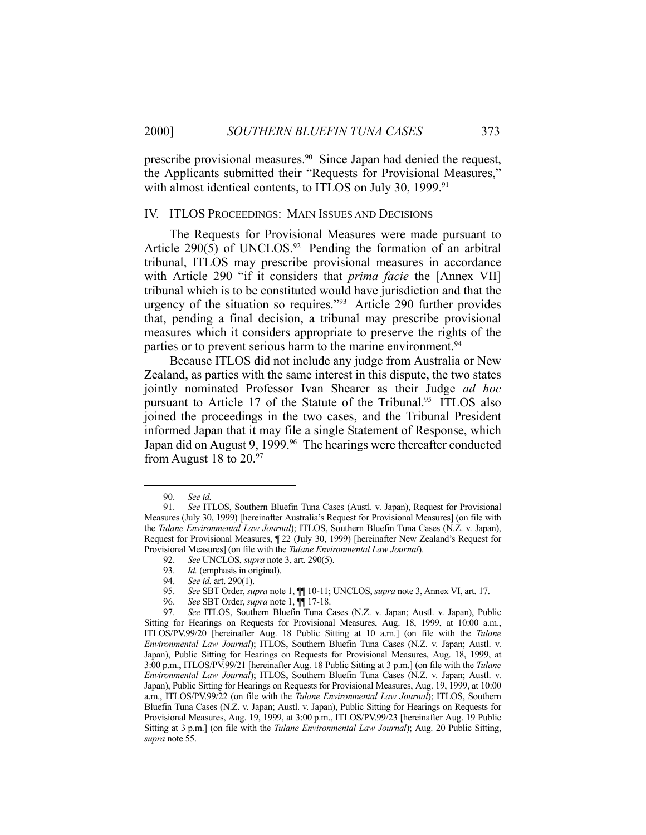prescribe provisional measures.<sup>90</sup> Since Japan had denied the request, the Applicants submitted their "Requests for Provisional Measures," with almost identical contents, to ITLOS on July 30, 1999.<sup>91</sup>

## IV. ITLOS PROCEEDINGS: MAIN ISSUES AND DECISIONS

 The Requests for Provisional Measures were made pursuant to Article 290(5) of UNCLOS.<sup>92</sup> Pending the formation of an arbitral tribunal, ITLOS may prescribe provisional measures in accordance with Article 290 "if it considers that *prima facie* the [Annex VII] tribunal which is to be constituted would have jurisdiction and that the urgency of the situation so requires."93 Article 290 further provides that, pending a final decision, a tribunal may prescribe provisional measures which it considers appropriate to preserve the rights of the parties or to prevent serious harm to the marine environment.<sup>94</sup>

 Because ITLOS did not include any judge from Australia or New Zealand, as parties with the same interest in this dispute, the two states jointly nominated Professor Ivan Shearer as their Judge *ad hoc* pursuant to Article 17 of the Statute of the Tribunal.<sup>95</sup> ITLOS also joined the proceedings in the two cases, and the Tribunal President informed Japan that it may file a single Statement of Response, which Japan did on August 9, 1999.<sup>96</sup> The hearings were thereafter conducted from August 18 to  $20.^{97}$ 

 <sup>90.</sup> *See id.* 

 <sup>91.</sup> *See* ITLOS, Southern Bluefin Tuna Cases (Austl. v. Japan), Request for Provisional Measures (July 30, 1999) [hereinafter Australia's Request for Provisional Measures] (on file with the *Tulane Environmental Law Journal*); ITLOS, Southern Bluefin Tuna Cases (N.Z. v. Japan), Request for Provisional Measures, ¶ 22 (July 30, 1999) [hereinafter New Zealand's Request for Provisional Measures] (on file with the *Tulane Environmental Law Journal*).

 <sup>92.</sup> *See* UNCLOS, *supra* note 3, art. 290(5).

 <sup>93.</sup> *Id.* (emphasis in original).

 <sup>94.</sup> *See id.* art. 290(1).

 <sup>95.</sup> *See* SBT Order, *supra* note 1, ¶¶ 10-11; UNCLOS, *supra* note 3, Annex VI, art. 17.

 <sup>96.</sup> *See* SBT Order, *supra* note 1, ¶¶ 17-18.

 <sup>97.</sup> *See* ITLOS, Southern Bluefin Tuna Cases (N.Z. v. Japan; Austl. v. Japan), Public Sitting for Hearings on Requests for Provisional Measures, Aug. 18, 1999, at 10:00 a.m., ITLOS/PV.99/20 [hereinafter Aug. 18 Public Sitting at 10 a.m.] (on file with the *Tulane Environmental Law Journal*); ITLOS, Southern Bluefin Tuna Cases (N.Z. v. Japan; Austl. v. Japan), Public Sitting for Hearings on Requests for Provisional Measures, Aug. 18, 1999, at 3:00 p.m., ITLOS/PV.99/21 [hereinafter Aug. 18 Public Sitting at 3 p.m.] (on file with the *Tulane Environmental Law Journal*); ITLOS, Southern Bluefin Tuna Cases (N.Z. v. Japan; Austl. v. Japan), Public Sitting for Hearings on Requests for Provisional Measures, Aug. 19, 1999, at 10:00 a.m., ITLOS/PV.99/22 (on file with the *Tulane Environmental Law Journal*); ITLOS, Southern Bluefin Tuna Cases (N.Z. v. Japan; Austl. v. Japan), Public Sitting for Hearings on Requests for Provisional Measures, Aug. 19, 1999, at 3:00 p.m., ITLOS/PV.99/23 [hereinafter Aug. 19 Public Sitting at 3 p.m.] (on file with the *Tulane Environmental Law Journal*); Aug. 20 Public Sitting, *supra* note 55.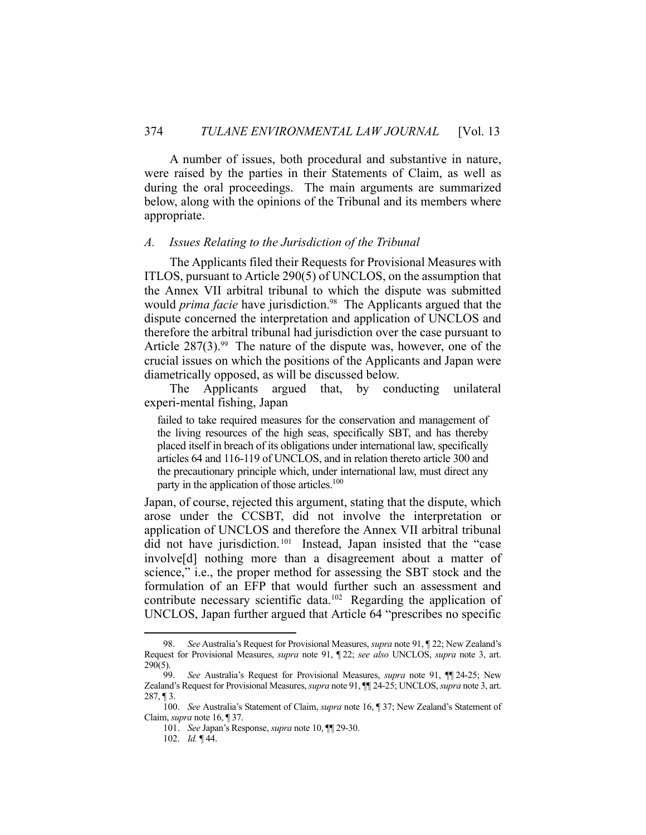A number of issues, both procedural and substantive in nature, were raised by the parties in their Statements of Claim, as well as during the oral proceedings. The main arguments are summarized below, along with the opinions of the Tribunal and its members where appropriate.

## *A. Issues Relating to the Jurisdiction of the Tribunal*

 The Applicants filed their Requests for Provisional Measures with ITLOS, pursuant to Article 290(5) of UNCLOS, on the assumption that the Annex VII arbitral tribunal to which the dispute was submitted would *prima facie* have jurisdiction.<sup>98</sup> The Applicants argued that the dispute concerned the interpretation and application of UNCLOS and therefore the arbitral tribunal had jurisdiction over the case pursuant to Article  $287(3)$ .<sup>99</sup> The nature of the dispute was, however, one of the crucial issues on which the positions of the Applicants and Japan were diametrically opposed, as will be discussed below.

 The Applicants argued that, by conducting unilateral experi-mental fishing, Japan

failed to take required measures for the conservation and management of the living resources of the high seas, specifically SBT, and has thereby placed itself in breach of its obligations under international law, specifically articles 64 and 116-119 of UNCLOS, and in relation thereto article 300 and the precautionary principle which, under international law, must direct any party in the application of those articles.<sup>100</sup>

Japan, of course, rejected this argument, stating that the dispute, which arose under the CCSBT, did not involve the interpretation or application of UNCLOS and therefore the Annex VII arbitral tribunal did not have jurisdiction. 101 Instead, Japan insisted that the "case involve[d] nothing more than a disagreement about a matter of science," i.e., the proper method for assessing the SBT stock and the formulation of an EFP that would further such an assessment and contribute necessary scientific data.<sup>102</sup> Regarding the application of UNCLOS, Japan further argued that Article 64 "prescribes no specific

 <sup>98.</sup> *See* Australia's Request for Provisional Measures, *supra* note 91, ¶ 22; New Zealand's Request for Provisional Measures, *supra* note 91, ¶ 22; *see also* UNCLOS, *supra* note 3, art. 290(5).

 <sup>99.</sup> *See* Australia's Request for Provisional Measures, *supra* note 91, ¶¶ 24-25; New Zealand's Request for Provisional Measures, *supra* note 91, ¶¶ 24-25; UNCLOS, *supra* note 3, art.  $287, \P 3$ .

 <sup>100.</sup> *See* Australia's Statement of Claim, *supra* note 16, ¶ 37; New Zealand's Statement of Claim, *supra* note 16, ¶ 37.

 <sup>101.</sup> *See* Japan's Response, *supra* note 10, ¶¶ 29-30.

 <sup>102.</sup> *Id.* ¶ 44.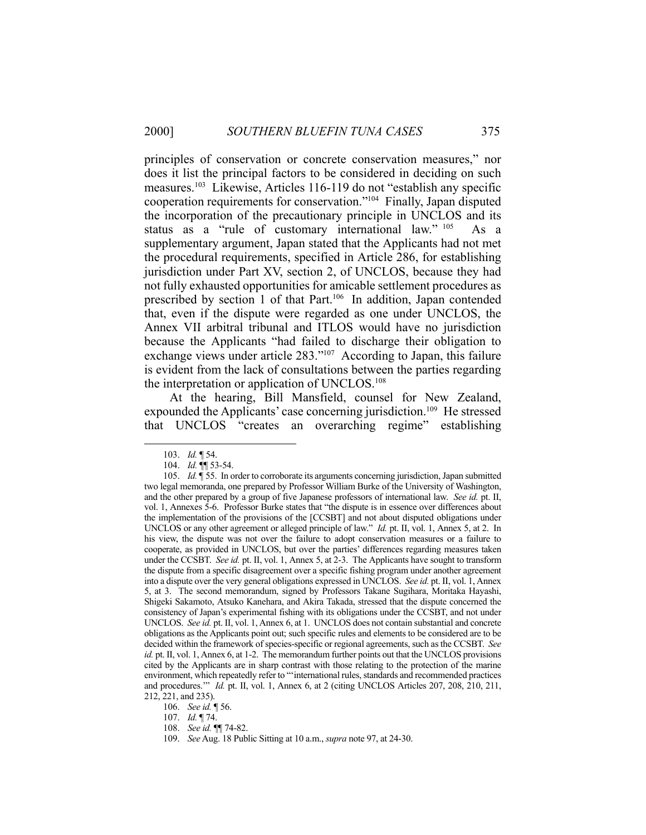principles of conservation or concrete conservation measures," nor does it list the principal factors to be considered in deciding on such measures.103 Likewise, Articles 116-119 do not "establish any specific cooperation requirements for conservation."104 Finally, Japan disputed the incorporation of the precautionary principle in UNCLOS and its status as a "rule of customary international law." 105 As a supplementary argument, Japan stated that the Applicants had not met the procedural requirements, specified in Article 286, for establishing jurisdiction under Part XV, section 2, of UNCLOS, because they had not fully exhausted opportunities for amicable settlement procedures as prescribed by section 1 of that Part.<sup>106</sup> In addition, Japan contended that, even if the dispute were regarded as one under UNCLOS, the Annex VII arbitral tribunal and ITLOS would have no jurisdiction because the Applicants "had failed to discharge their obligation to exchange views under article 283."107 According to Japan, this failure is evident from the lack of consultations between the parties regarding the interpretation or application of UNCLOS.108

 At the hearing, Bill Mansfield, counsel for New Zealand, expounded the Applicants' case concerning jurisdiction.<sup>109</sup> He stressed that UNCLOS "creates an overarching regime" establishing

 <sup>103.</sup> *Id.* ¶ 54.

 <sup>104.</sup> *Id.* ¶¶ 53-54.

 <sup>105.</sup> *Id.* ¶ 55. In order to corroborate its arguments concerning jurisdiction, Japan submitted two legal memoranda, one prepared by Professor William Burke of the University of Washington, and the other prepared by a group of five Japanese professors of international law. *See id.* pt. II, vol. 1, Annexes 5-6. Professor Burke states that "the dispute is in essence over differences about the implementation of the provisions of the [CCSBT] and not about disputed obligations under UNCLOS or any other agreement or alleged principle of law." *Id.* pt. II, vol. 1, Annex 5, at 2. In his view, the dispute was not over the failure to adopt conservation measures or a failure to cooperate, as provided in UNCLOS, but over the parties' differences regarding measures taken under the CCSBT. *See id.* pt. II, vol. 1, Annex 5, at 2-3. The Applicants have sought to transform the dispute from a specific disagreement over a specific fishing program under another agreement into a dispute over the very general obligations expressed in UNCLOS. *See id.* pt. II, vol. 1, Annex 5, at 3. The second memorandum, signed by Professors Takane Sugihara, Moritaka Hayashi, Shigeki Sakamoto, Atsuko Kanehara, and Akira Takada, stressed that the dispute concerned the consistency of Japan's experimental fishing with its obligations under the CCSBT, and not under UNCLOS. *See id.* pt. II, vol. 1, Annex 6, at 1. UNCLOS does not contain substantial and concrete obligations as the Applicants point out; such specific rules and elements to be considered are to be decided within the framework of species-specific or regional agreements, such as the CCSBT. *See id.* pt. II, vol. 1, Annex 6, at 1-2. The memorandum further points out that the UNCLOS provisions cited by the Applicants are in sharp contrast with those relating to the protection of the marine environment, which repeatedly refer to "'international rules, standards and recommended practices and procedures.'" *Id.* pt. II, vol. 1, Annex 6, at 2 (citing UNCLOS Articles 207, 208, 210, 211, 212, 221, and 235).

 <sup>106.</sup> *See id.* ¶ 56.

 <sup>107.</sup> *Id.* ¶ 74.

 <sup>108.</sup> *See id.* ¶¶ 74-82.

 <sup>109.</sup> *See* Aug. 18 Public Sitting at 10 a.m., *supra* note 97, at 24-30.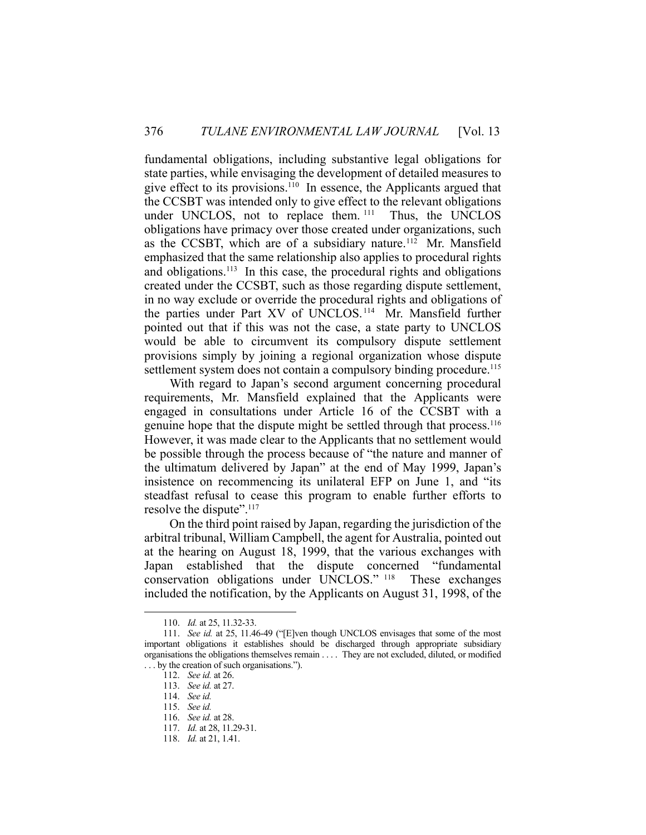fundamental obligations, including substantive legal obligations for state parties, while envisaging the development of detailed measures to give effect to its provisions.110 In essence, the Applicants argued that the CCSBT was intended only to give effect to the relevant obligations under UNCLOS, not to replace them. 111 Thus, the UNCLOS obligations have primacy over those created under organizations, such as the CCSBT, which are of a subsidiary nature.<sup>112</sup> Mr. Mansfield emphasized that the same relationship also applies to procedural rights and obligations.<sup>113</sup> In this case, the procedural rights and obligations created under the CCSBT, such as those regarding dispute settlement, in no way exclude or override the procedural rights and obligations of the parties under Part XV of UNCLOS. 114 Mr. Mansfield further pointed out that if this was not the case, a state party to UNCLOS would be able to circumvent its compulsory dispute settlement provisions simply by joining a regional organization whose dispute settlement system does not contain a compulsory binding procedure.<sup>115</sup>

 With regard to Japan's second argument concerning procedural requirements, Mr. Mansfield explained that the Applicants were engaged in consultations under Article 16 of the CCSBT with a genuine hope that the dispute might be settled through that process.116 However, it was made clear to the Applicants that no settlement would be possible through the process because of "the nature and manner of the ultimatum delivered by Japan" at the end of May 1999, Japan's insistence on recommencing its unilateral EFP on June 1, and "its steadfast refusal to cease this program to enable further efforts to resolve the dispute".<sup>117</sup>

 On the third point raised by Japan, regarding the jurisdiction of the arbitral tribunal, William Campbell, the agent for Australia, pointed out at the hearing on August 18, 1999, that the various exchanges with Japan established that the dispute concerned "fundamental conservation obligations under UNCLOS." 118 These exchanges included the notification, by the Applicants on August 31, 1998, of the

 <sup>110.</sup> *Id.* at 25, 11.32-33.

 <sup>111.</sup> *See id.* at 25, 11.46-49 ("[E]ven though UNCLOS envisages that some of the most important obligations it establishes should be discharged through appropriate subsidiary organisations the obligations themselves remain . . . . They are not excluded, diluted, or modified . . . by the creation of such organisations.").

 <sup>112.</sup> *See id.* at 26.

 <sup>113.</sup> *See id.* at 27.

 <sup>114.</sup> *See id.*

 <sup>115.</sup> *See id.*

 <sup>116.</sup> *See id.* at 28.

 <sup>117.</sup> *Id.* at 28, 11.29-31.

 <sup>118.</sup> *Id.* at 21, 1.41.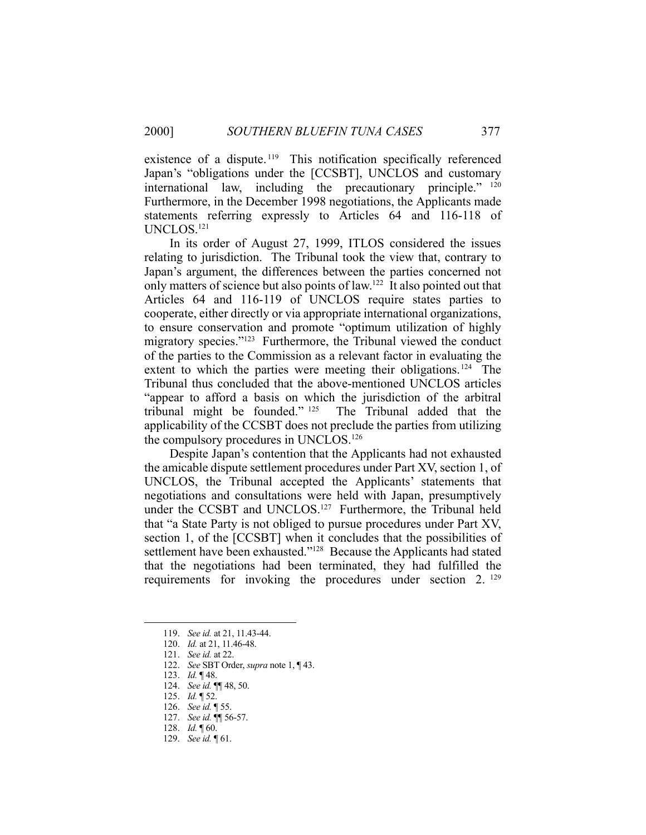existence of a dispute.<sup>119</sup> This notification specifically referenced Japan's "obligations under the [CCSBT], UNCLOS and customary international law, including the precautionary principle." 120 Furthermore, in the December 1998 negotiations, the Applicants made statements referring expressly to Articles 64 and 116-118 of UNCLOS.121

 In its order of August 27, 1999, ITLOS considered the issues relating to jurisdiction. The Tribunal took the view that, contrary to Japan's argument, the differences between the parties concerned not only matters of science but also points of law.122 It also pointed out that Articles 64 and 116-119 of UNCLOS require states parties to cooperate, either directly or via appropriate international organizations, to ensure conservation and promote "optimum utilization of highly migratory species."123 Furthermore, the Tribunal viewed the conduct of the parties to the Commission as a relevant factor in evaluating the extent to which the parties were meeting their obligations.<sup>124</sup> The Tribunal thus concluded that the above-mentioned UNCLOS articles "appear to afford a basis on which the jurisdiction of the arbitral tribunal might be founded." 125 The Tribunal added that the applicability of the CCSBT does not preclude the parties from utilizing the compulsory procedures in UNCLOS.126

 Despite Japan's contention that the Applicants had not exhausted the amicable dispute settlement procedures under Part XV, section 1, of UNCLOS, the Tribunal accepted the Applicants' statements that negotiations and consultations were held with Japan, presumptively under the CCSBT and UNCLOS.<sup>127</sup> Furthermore, the Tribunal held that "a State Party is not obliged to pursue procedures under Part XV, section 1, of the [CCSBT] when it concludes that the possibilities of settlement have been exhausted."<sup>128</sup> Because the Applicants had stated that the negotiations had been terminated, they had fulfilled the requirements for invoking the procedures under section 2.<sup>129</sup>

- 125. *Id.* ¶ 52.
- 126. *See id.* ¶ 55.
- 127. *See id.* ¶¶ 56-57.

 <sup>119.</sup> *See id.* at 21, 11.43-44.

 <sup>120.</sup> *Id.* at 21, 11.46-48.

 <sup>121.</sup> *See id.* at 22.

 <sup>122.</sup> *See* SBT Order, *supra* note 1, ¶ 43.

 <sup>123.</sup> *Id.* ¶ 48.

 <sup>124.</sup> *See id.* ¶¶ 48, 50.

 <sup>128.</sup> *Id.* ¶ 60.

 <sup>129.</sup> *See id.* ¶ 61.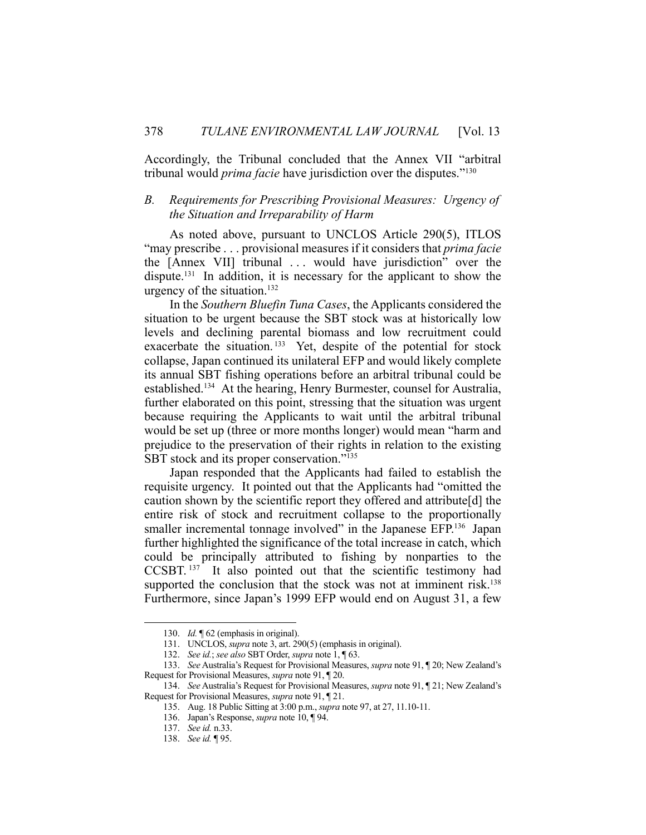Accordingly, the Tribunal concluded that the Annex VII "arbitral tribunal would *prima facie* have jurisdiction over the disputes."130

# *B. Requirements for Prescribing Provisional Measures: Urgency of the Situation and Irreparability of Harm*

 As noted above, pursuant to UNCLOS Article 290(5), ITLOS "may prescribe . . . provisional measures if it considers that *prima facie* the [Annex VII] tribunal . . . would have jurisdiction" over the dispute.<sup>131</sup> In addition, it is necessary for the applicant to show the urgency of the situation. $132$ 

 In the *Southern Bluefin Tuna Cases*, the Applicants considered the situation to be urgent because the SBT stock was at historically low levels and declining parental biomass and low recruitment could exacerbate the situation.<sup>133</sup> Yet, despite of the potential for stock collapse, Japan continued its unilateral EFP and would likely complete its annual SBT fishing operations before an arbitral tribunal could be established.134 At the hearing, Henry Burmester, counsel for Australia, further elaborated on this point, stressing that the situation was urgent because requiring the Applicants to wait until the arbitral tribunal would be set up (three or more months longer) would mean "harm and prejudice to the preservation of their rights in relation to the existing SBT stock and its proper conservation."<sup>135</sup>

 Japan responded that the Applicants had failed to establish the requisite urgency. It pointed out that the Applicants had "omitted the caution shown by the scientific report they offered and attribute[d] the entire risk of stock and recruitment collapse to the proportionally smaller incremental tonnage involved" in the Japanese EFP.<sup>136</sup> Japan further highlighted the significance of the total increase in catch, which could be principally attributed to fishing by nonparties to the CCSBT. 137 It also pointed out that the scientific testimony had supported the conclusion that the stock was not at imminent risk.<sup>138</sup> Furthermore, since Japan's 1999 EFP would end on August 31, a few

 <sup>130.</sup> *Id.* ¶ 62 (emphasis in original).

 <sup>131.</sup> UNCLOS, *supra* note 3, art. 290(5) (emphasis in original).

 <sup>132.</sup> *See id.*; *see also* SBT Order, *supra* note 1, ¶ 63.

 <sup>133.</sup> *See* Australia's Request for Provisional Measures, *supra* note 91, ¶ 20; New Zealand's Request for Provisional Measures, *supra* note 91, ¶ 20.

 <sup>134.</sup> *See* Australia's Request for Provisional Measures, *supra* note 91, ¶ 21; New Zealand's Request for Provisional Measures, *supra* note 91, ¶ 21.

 <sup>135.</sup> Aug. 18 Public Sitting at 3:00 p.m., *supra* note 97, at 27, 11.10-11.

 <sup>136.</sup> Japan's Response, *supra* note 10, ¶ 94.

 <sup>137.</sup> *See id.* n.33.

 <sup>138.</sup> *See id.* ¶ 95.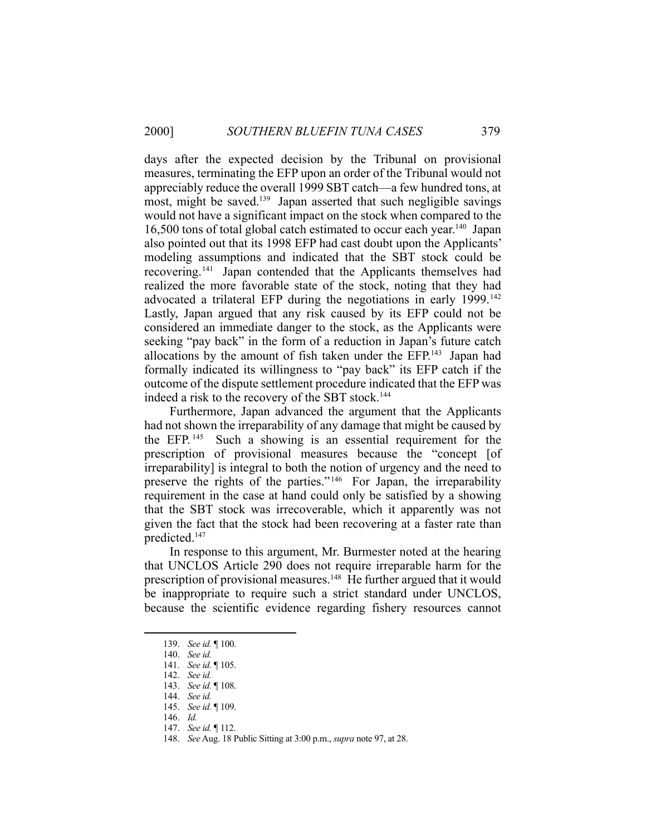days after the expected decision by the Tribunal on provisional measures, terminating the EFP upon an order of the Tribunal would not appreciably reduce the overall 1999 SBT catch—a few hundred tons, at most, might be saved.<sup>139</sup> Japan asserted that such negligible savings would not have a significant impact on the stock when compared to the 16,500 tons of total global catch estimated to occur each year.<sup>140</sup> Japan also pointed out that its 1998 EFP had cast doubt upon the Applicants' modeling assumptions and indicated that the SBT stock could be recovering.141 Japan contended that the Applicants themselves had realized the more favorable state of the stock, noting that they had advocated a trilateral EFP during the negotiations in early 1999.<sup>142</sup> Lastly, Japan argued that any risk caused by its EFP could not be considered an immediate danger to the stock, as the Applicants were seeking "pay back" in the form of a reduction in Japan's future catch allocations by the amount of fish taken under the EFP.143 Japan had formally indicated its willingness to "pay back" its EFP catch if the outcome of the dispute settlement procedure indicated that the EFP was indeed a risk to the recovery of the SBT stock.<sup>144</sup>

 Furthermore, Japan advanced the argument that the Applicants had not shown the irreparability of any damage that might be caused by the EFP. 145 Such a showing is an essential requirement for the prescription of provisional measures because the "concept [of irreparability] is integral to both the notion of urgency and the need to preserve the rights of the parties."146 For Japan, the irreparability requirement in the case at hand could only be satisfied by a showing that the SBT stock was irrecoverable, which it apparently was not given the fact that the stock had been recovering at a faster rate than predicted.147

 In response to this argument, Mr. Burmester noted at the hearing that UNCLOS Article 290 does not require irreparable harm for the prescription of provisional measures.<sup>148</sup> He further argued that it would be inappropriate to require such a strict standard under UNCLOS, because the scientific evidence regarding fishery resources cannot

 <sup>139.</sup> *See id.* ¶ 100.

 <sup>140.</sup> *See id.*

 <sup>141.</sup> *See id.* ¶ 105.

 <sup>142.</sup> *See id.*

 <sup>143.</sup> *See id.* ¶ 108.

 <sup>144.</sup> *See id.*

 <sup>145.</sup> *See id.* ¶ 109.

 <sup>146.</sup> *Id.*

 <sup>147.</sup> *See id.* ¶ 112.

 <sup>148.</sup> *See* Aug. 18 Public Sitting at 3:00 p.m., *supra* note 97, at 28.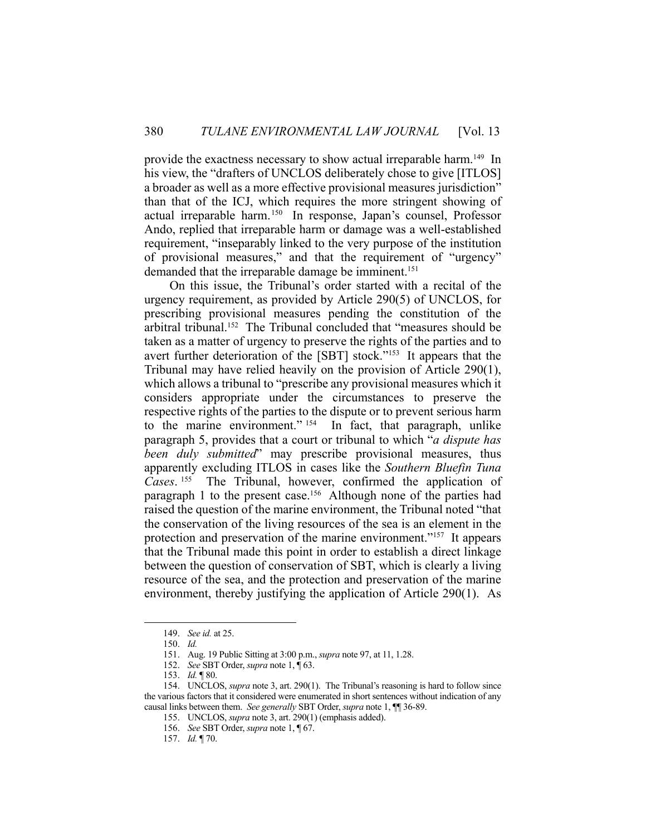provide the exactness necessary to show actual irreparable harm.<sup>149</sup> In his view, the "drafters of UNCLOS deliberately chose to give [ITLOS] a broader as well as a more effective provisional measures jurisdiction" than that of the ICJ, which requires the more stringent showing of actual irreparable harm.150 In response, Japan's counsel, Professor Ando, replied that irreparable harm or damage was a well-established requirement, "inseparably linked to the very purpose of the institution of provisional measures," and that the requirement of "urgency" demanded that the irreparable damage be imminent.<sup>151</sup>

 On this issue, the Tribunal's order started with a recital of the urgency requirement, as provided by Article 290(5) of UNCLOS, for prescribing provisional measures pending the constitution of the arbitral tribunal.<sup>152</sup> The Tribunal concluded that "measures should be taken as a matter of urgency to preserve the rights of the parties and to avert further deterioration of the [SBT] stock."153 It appears that the Tribunal may have relied heavily on the provision of Article 290(1), which allows a tribunal to "prescribe any provisional measures which it considers appropriate under the circumstances to preserve the respective rights of the parties to the dispute or to prevent serious harm to the marine environment." 154 In fact, that paragraph, unlike paragraph 5, provides that a court or tribunal to which "*a dispute has been duly submitted*" may prescribe provisional measures, thus apparently excluding ITLOS in cases like the *Southern Bluefin Tuna Cases*. 155 The Tribunal, however, confirmed the application of paragraph 1 to the present case.<sup>156</sup> Although none of the parties had raised the question of the marine environment, the Tribunal noted "that the conservation of the living resources of the sea is an element in the protection and preservation of the marine environment."157 It appears that the Tribunal made this point in order to establish a direct linkage between the question of conservation of SBT, which is clearly a living resource of the sea, and the protection and preservation of the marine environment, thereby justifying the application of Article 290(1). As

 <sup>149.</sup> *See id.* at 25.

 <sup>150.</sup> *Id.*

 <sup>151.</sup> Aug. 19 Public Sitting at 3:00 p.m., *supra* note 97, at 11, 1.28.

 <sup>152.</sup> *See* SBT Order, *supra* note 1, ¶ 63.

 <sup>153.</sup> *Id.* ¶ 80.

 <sup>154.</sup> UNCLOS, *supra* note 3, art. 290(1). The Tribunal's reasoning is hard to follow since the various factors that it considered were enumerated in short sentences without indication of any causal links between them. *See generally* SBT Order, *supra* note 1, ¶¶ 36-89.

 <sup>155.</sup> UNCLOS, *supra* note 3, art. 290(1) (emphasis added).

 <sup>156.</sup> *See* SBT Order, *supra* note 1, ¶ 67.

 <sup>157.</sup> *Id.* ¶ 70.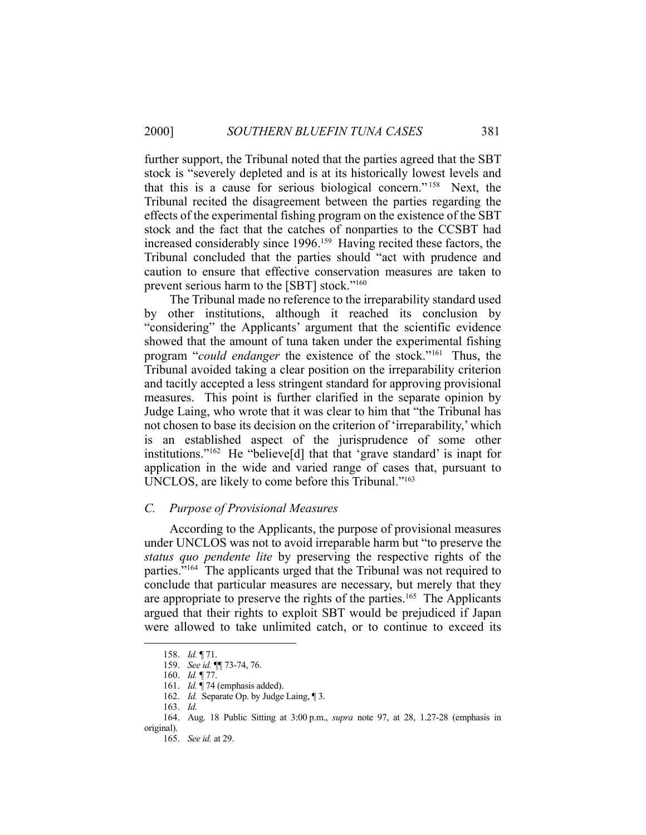further support, the Tribunal noted that the parties agreed that the SBT stock is "severely depleted and is at its historically lowest levels and that this is a cause for serious biological concern." 158 Next, the Tribunal recited the disagreement between the parties regarding the effects of the experimental fishing program on the existence of the SBT stock and the fact that the catches of nonparties to the CCSBT had increased considerably since 1996.159 Having recited these factors, the Tribunal concluded that the parties should "act with prudence and caution to ensure that effective conservation measures are taken to prevent serious harm to the [SBT] stock."160

 The Tribunal made no reference to the irreparability standard used by other institutions, although it reached its conclusion by "considering" the Applicants' argument that the scientific evidence showed that the amount of tuna taken under the experimental fishing program "*could endanger* the existence of the stock."161 Thus, the Tribunal avoided taking a clear position on the irreparability criterion and tacitly accepted a less stringent standard for approving provisional measures. This point is further clarified in the separate opinion by Judge Laing, who wrote that it was clear to him that "the Tribunal has not chosen to base its decision on the criterion of 'irreparability,' which is an established aspect of the jurisprudence of some other institutions."162 He "believe[d] that that 'grave standard' is inapt for application in the wide and varied range of cases that, pursuant to UNCLOS, are likely to come before this Tribunal."163

#### *C. Purpose of Provisional Measures*

 According to the Applicants, the purpose of provisional measures under UNCLOS was not to avoid irreparable harm but "to preserve the *status quo pendente lite* by preserving the respective rights of the parties."164 The applicants urged that the Tribunal was not required to conclude that particular measures are necessary, but merely that they are appropriate to preserve the rights of the parties.165 The Applicants argued that their rights to exploit SBT would be prejudiced if Japan were allowed to take unlimited catch, or to continue to exceed its

 <sup>158.</sup> *Id.* ¶ 71.

 <sup>159.</sup> *See id.* ¶¶ 73-74, 76.

 <sup>160.</sup> *Id.* ¶ 77.

 <sup>161.</sup> *Id.* ¶ 74 (emphasis added).

 <sup>162.</sup> *Id.* Separate Op. by Judge Laing, ¶ 3.

 <sup>163.</sup> *Id.* 

 <sup>164.</sup> Aug. 18 Public Sitting at 3:00 p.m., *supra* note 97, at 28, 1.27-28 (emphasis in original).

 <sup>165.</sup> *See id.* at 29.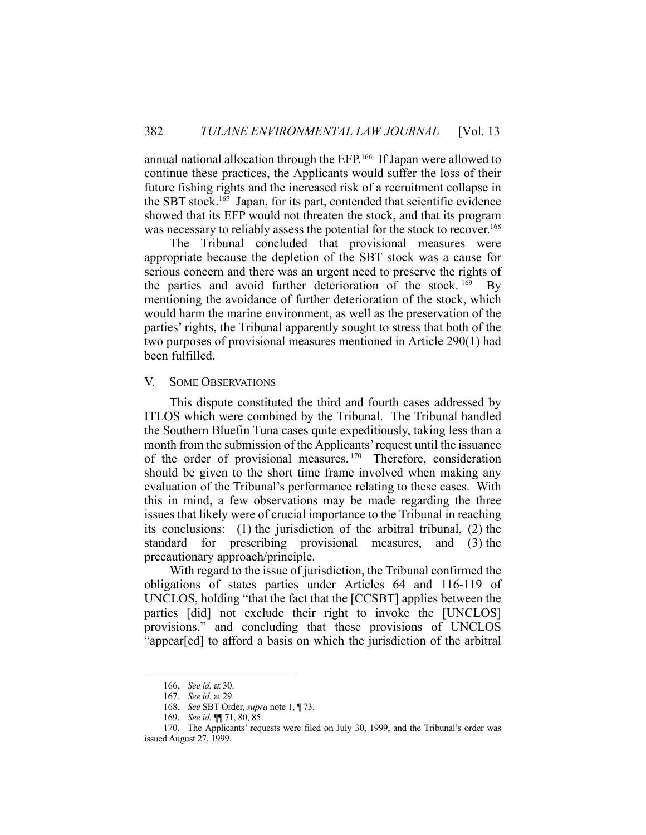annual national allocation through the EFP.166 If Japan were allowed to continue these practices, the Applicants would suffer the loss of their future fishing rights and the increased risk of a recruitment collapse in the SBT stock.<sup>167</sup> Japan, for its part, contended that scientific evidence showed that its EFP would not threaten the stock, and that its program was necessary to reliably assess the potential for the stock to recover.<sup>168</sup>

 The Tribunal concluded that provisional measures were appropriate because the depletion of the SBT stock was a cause for serious concern and there was an urgent need to preserve the rights of the parties and avoid further deterioration of the stock. 169 By mentioning the avoidance of further deterioration of the stock, which would harm the marine environment, as well as the preservation of the parties' rights, the Tribunal apparently sought to stress that both of the two purposes of provisional measures mentioned in Article 290(1) had been fulfilled.

# V. SOME OBSERVATIONS

 This dispute constituted the third and fourth cases addressed by ITLOS which were combined by the Tribunal. The Tribunal handled the Southern Bluefin Tuna cases quite expeditiously, taking less than a month from the submission of the Applicants' request until the issuance of the order of provisional measures. 170 Therefore, consideration should be given to the short time frame involved when making any evaluation of the Tribunal's performance relating to these cases. With this in mind, a few observations may be made regarding the three issues that likely were of crucial importance to the Tribunal in reaching its conclusions: (1) the jurisdiction of the arbitral tribunal, (2) the standard for prescribing provisional measures, and (3) the precautionary approach/principle.

 With regard to the issue of jurisdiction, the Tribunal confirmed the obligations of states parties under Articles 64 and 116-119 of UNCLOS, holding "that the fact that the [CCSBT] applies between the parties [did] not exclude their right to invoke the [UNCLOS] provisions," and concluding that these provisions of UNCLOS "appear[ed] to afford a basis on which the jurisdiction of the arbitral

 <sup>166.</sup> *See id.* at 30.

 <sup>167.</sup> *See id.* at 29.

 <sup>168.</sup> *See* SBT Order, *supra* note 1, ¶ 73.

 <sup>169.</sup> *See id.* ¶¶ 71, 80, 85.

 <sup>170.</sup> The Applicants' requests were filed on July 30, 1999, and the Tribunal's order was issued August 27, 1999.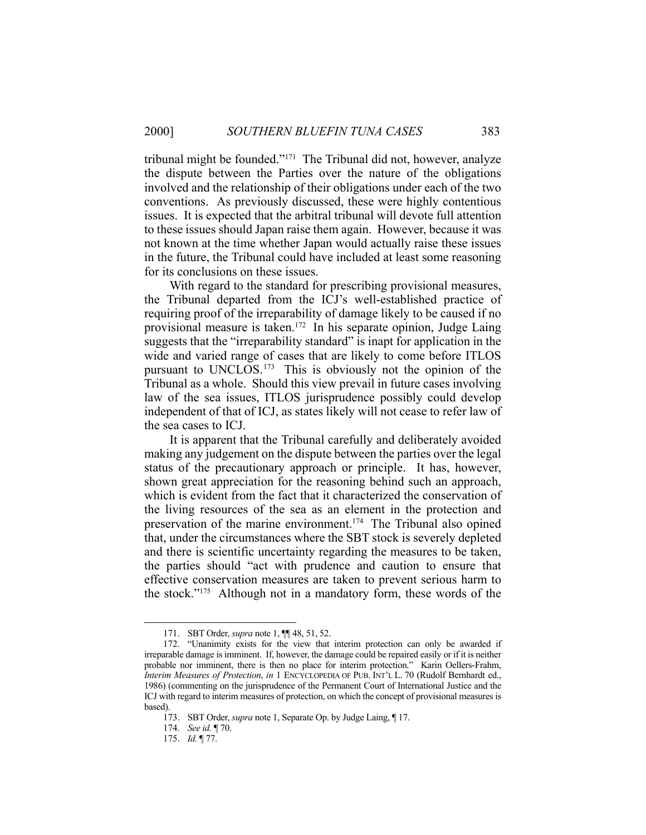tribunal might be founded."171 The Tribunal did not, however, analyze the dispute between the Parties over the nature of the obligations involved and the relationship of their obligations under each of the two conventions. As previously discussed, these were highly contentious issues. It is expected that the arbitral tribunal will devote full attention to these issues should Japan raise them again. However, because it was not known at the time whether Japan would actually raise these issues in the future, the Tribunal could have included at least some reasoning for its conclusions on these issues.

 With regard to the standard for prescribing provisional measures, the Tribunal departed from the ICJ's well-established practice of requiring proof of the irreparability of damage likely to be caused if no provisional measure is taken.<sup>172</sup> In his separate opinion, Judge Laing suggests that the "irreparability standard" is inapt for application in the wide and varied range of cases that are likely to come before ITLOS pursuant to UNCLOS.173 This is obviously not the opinion of the Tribunal as a whole. Should this view prevail in future cases involving law of the sea issues, ITLOS jurisprudence possibly could develop independent of that of ICJ, as states likely will not cease to refer law of the sea cases to ICJ.

 It is apparent that the Tribunal carefully and deliberately avoided making any judgement on the dispute between the parties over the legal status of the precautionary approach or principle. It has, however, shown great appreciation for the reasoning behind such an approach, which is evident from the fact that it characterized the conservation of the living resources of the sea as an element in the protection and preservation of the marine environment.<sup>174</sup> The Tribunal also opined that, under the circumstances where the SBT stock is severely depleted and there is scientific uncertainty regarding the measures to be taken, the parties should "act with prudence and caution to ensure that effective conservation measures are taken to prevent serious harm to the stock."175 Although not in a mandatory form, these words of the

 <sup>171.</sup> SBT Order, *supra* note 1, ¶¶ 48, 51, 52.

 <sup>172. &</sup>quot;Unanimity exists for the view that interim protection can only be awarded if irreparable damage is imminent. If, however, the damage could be repaired easily or if it is neither probable nor imminent, there is then no place for interim protection." Karin Oellers-Frahm, *Interim Measures of Protection*, *in* 1 ENCYCLOPEDIA OF PUB. INT'L L. 70 (Rudolf Bernhardt ed., 1986) (commenting on the jurisprudence of the Permanent Court of International Justice and the ICJ with regard to interim measures of protection, on which the concept of provisional measures is based).

 <sup>173.</sup> SBT Order, *supra* note 1, Separate Op. by Judge Laing, ¶ 17.

 <sup>174.</sup> *See id.* ¶ 70.

 <sup>175.</sup> *Id.* ¶ 77.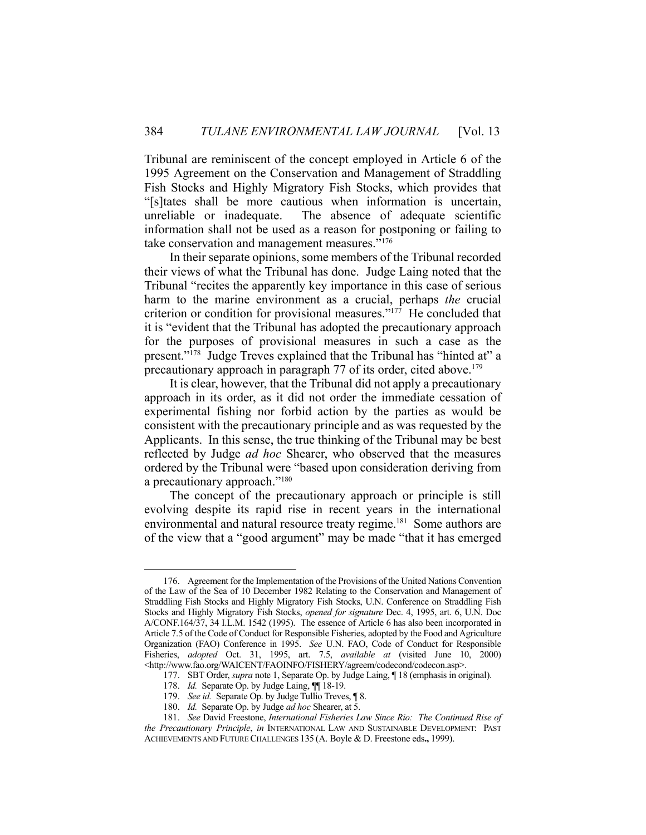Tribunal are reminiscent of the concept employed in Article 6 of the 1995 Agreement on the Conservation and Management of Straddling Fish Stocks and Highly Migratory Fish Stocks, which provides that "[s]tates shall be more cautious when information is uncertain, unreliable or inadequate. The absence of adequate scientific information shall not be used as a reason for postponing or failing to take conservation and management measures."176

 In their separate opinions, some members of the Tribunal recorded their views of what the Tribunal has done. Judge Laing noted that the Tribunal "recites the apparently key importance in this case of serious harm to the marine environment as a crucial, perhaps *the* crucial criterion or condition for provisional measures."177 He concluded that it is "evident that the Tribunal has adopted the precautionary approach for the purposes of provisional measures in such a case as the present."<sup>178</sup> Judge Treves explained that the Tribunal has "hinted at" a precautionary approach in paragraph 77 of its order, cited above.<sup>179</sup>

 It is clear, however, that the Tribunal did not apply a precautionary approach in its order, as it did not order the immediate cessation of experimental fishing nor forbid action by the parties as would be consistent with the precautionary principle and as was requested by the Applicants. In this sense, the true thinking of the Tribunal may be best reflected by Judge *ad hoc* Shearer, who observed that the measures ordered by the Tribunal were "based upon consideration deriving from a precautionary approach."<sup>180</sup>

 The concept of the precautionary approach or principle is still evolving despite its rapid rise in recent years in the international environmental and natural resource treaty regime.<sup>181</sup> Some authors are of the view that a "good argument" may be made "that it has emerged

 <sup>176.</sup> Agreement for the Implementation of the Provisions of the United Nations Convention of the Law of the Sea of 10 December 1982 Relating to the Conservation and Management of Straddling Fish Stocks and Highly Migratory Fish Stocks, U.N. Conference on Straddling Fish Stocks and Highly Migratory Fish Stocks, *opened for signature* Dec. 4, 1995, art. 6, U.N. Doc A/CONF.164/37, 34 I.L.M. 1542 (1995). The essence of Article 6 has also been incorporated in Article 7.5 of the Code of Conduct for Responsible Fisheries, adopted by the Food and Agriculture Organization (FAO) Conference in 1995. *See* U.N. FAO, Code of Conduct for Responsible Fisheries, *adopted* Oct. 31, 1995, art. 7.5, *available at* (visited June 10, 2000) <http://www.fao.org/WAICENT/FAOINFO/FISHERY/agreem/codecond/codecon.asp>.

 <sup>177.</sup> SBT Order, *supra* note 1, Separate Op. by Judge Laing, ¶ 18 (emphasis in original).

 <sup>178.</sup> *Id.* Separate Op. by Judge Laing, ¶¶ 18-19.

 <sup>179.</sup> *See id.* Separate Op. by Judge Tullio Treves, ¶ 8.

 <sup>180.</sup> *Id.* Separate Op. by Judge *ad hoc* Shearer, at 5.

 <sup>181.</sup> *See* David Freestone, *International Fisheries Law Since Rio: The Continued Rise of the Precautionary Principle*, *in* INTERNATIONAL LAW AND SUSTAINABLE DEVELOPMENT: PAST ACHIEVEMENTS AND FUTURE CHALLENGES 135 (A. Boyle & D. Freestone eds**.,** 1999).